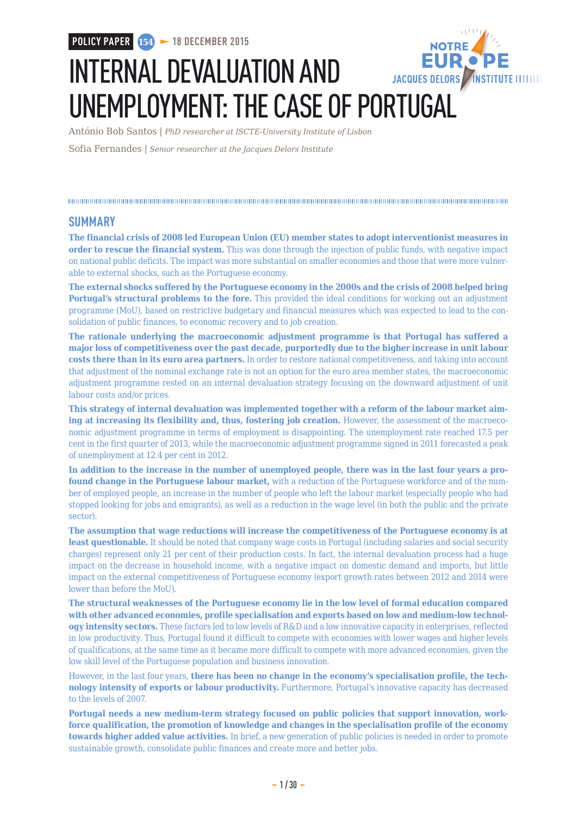**POLICY PAPER 154 18 DECEMBER 2015**

# INTERNAL DEVALUATION AND JACQUES DELORS /INSTITUTE IIIIIIII UNEMPLOYMENT: THE CASE OF PORTUGAL

António Bob Santos | *PhD researcher at ISCTE-University Institute of Lisbon*

Sofia Fernandes | *Senior researcher at the Jacques Delors Institute*

### **SUMMARY**

**The financial crisis of 2008 led European Union (EU) member states to adopt interventionist measures in order to rescue the financial system.** This was done through the injection of public funds, with negative impact on national public deficits. The impact was more substantial on smaller economies and those that were more vulnerable to external shocks, such as the Portuguese economy.

**The external shocks suffered by the Portuguese economy in the 2000s and the crisis of 2008 helped bring Portugal's structural problems to the fore.** This provided the ideal conditions for working out an adjustment programme (MoU), based on restrictive budgetary and financial measures which was expected to lead to the consolidation of public finances, to economic recovery and to job creation.

**The rationale underlying the macroeconomic adjustment programme is that Portugal has suffered a major loss of competitiveness over the past decade, purportedly due to the higher increase in unit labour costs there than in its euro area partners.** In order to restore national competitiveness, and taking into account that adjustment of the nominal exchange rate is not an option for the euro area member states, the macroeconomic adjustment programme rested on an internal devaluation strategy focusing on the downward adjustment of unit labour costs and/or prices.

**This strategy of internal devaluation was implemented together with a reform of the labour market aiming at increasing its flexibility and, thus, fostering job creation.** However, the assessment of the macroeconomic adjustment programme in terms of employment is disappointing. The unemployment rate reached 17.5 per cent in the first quarter of 2013, while the macroeconomic adjustment programme signed in 2011 forecasted a peak of unemployment at 12.4 per cent in 2012.

**In addition to the increase in the number of unemployed people, there was in the last four years a profound change in the Portuguese labour market,** with a reduction of the Portuguese workforce and of the number of employed people, an increase in the number of people who left the labour market (especially people who had stopped looking for jobs and emigrants), as well as a reduction in the wage level (in both the public and the private sector).

**The assumption that wage reductions will increase the competitiveness of the Portuguese economy is at least questionable.** It should be noted that company wage costs in Portugal (including salaries and social security charges) represent only 21 per cent of their production costs. In fact, the internal devaluation process had a huge impact on the decrease in household income, with a negative impact on domestic demand and imports, but little impact on the external competitiveness of Portuguese economy (export growth rates between 2012 and 2014 were lower than before the MoU).

**The structural weaknesses of the Portuguese economy lie in the low level of formal education compared with other advanced economies, profile specialisation and exports based on low and medium-low technology intensity sectors.** These factors led to low levels of R&D and a low innovative capacity in enterprises, reflected in low productivity. Thus, Portugal found it difficult to compete with economies with lower wages and higher levels of qualifications, at the same time as it became more difficult to compete with more advanced economies, given the low skill level of the Portuguese population and business innovation.

However, in the last four years, **there has been no change in the economy's specialisation profile, the technology intensity of exports or labour productivity.** Furthermore, Portugal's innovative capacity has decreased to the levels of 2007.

**Portugal needs a new medium-term strategy focused on public policies that support innovation, workforce qualification, the promotion of knowledge and changes in the specialisation profile of the economy towards higher added value activities.** In brief, a new generation of public policies is needed in order to promote sustainable growth, consolidate public finances and create more and better jobs.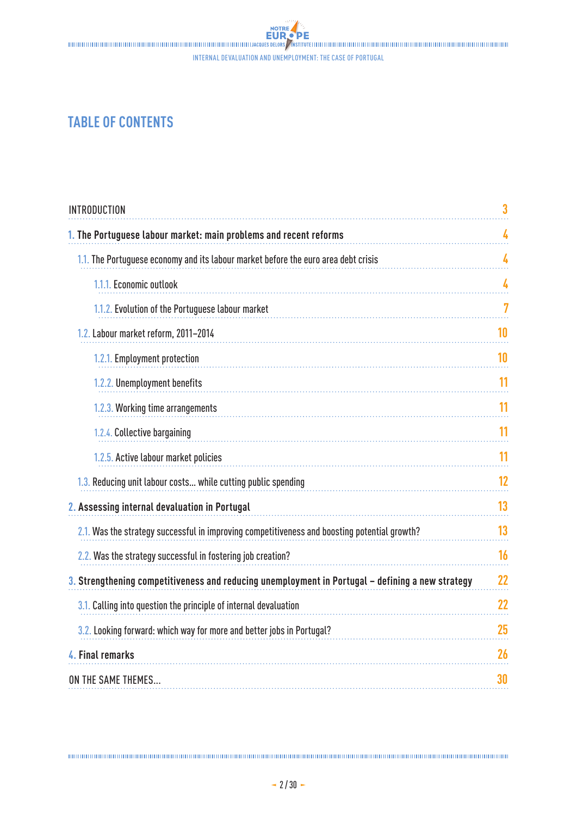Internal devaluation and unemployment: the case of Portugal

# **TABLE OF CONTENTS**

| <b>INTRODUCTION</b>                                                                              | 3  |
|--------------------------------------------------------------------------------------------------|----|
| 1. The Portuguese labour market: main problems and recent reforms                                | 4  |
| 1.1. The Portuguese economy and its labour market before the euro area debt crisis               | 4  |
| 1.1.1. Economic outlook                                                                          | 4  |
| 1.1.2. Evolution of the Portuguese labour market                                                 | 7  |
| 1.2. Labour market reform, 2011-2014                                                             | 10 |
| 1.2.1. Employment protection                                                                     | 10 |
| 1.2.2. Unemployment benefits                                                                     | 11 |
| 1.2.3. Working time arrangements                                                                 | 11 |
| 1.2.4. Collective bargaining                                                                     | 11 |
| 1.2.5. Active labour market policies                                                             | 11 |
| 1.3. Reducing unit labour costs while cutting public spending                                    | 12 |
| 2. Assessing internal devaluation in Portugal                                                    | 13 |
| 2.1. Was the strategy successful in improving competitiveness and boosting potential growth?     | 13 |
| 2.2. Was the strategy successful in fostering job creation?                                      | 16 |
| 3. Strengthening competitiveness and reducing unemployment in Portugal - defining a new strategy | 22 |
| 3.1. Calling into question the principle of internal devaluation                                 | 22 |
| 3.2. Looking forward: which way for more and better jobs in Portugal?                            | 25 |
| 4. Final remarks                                                                                 | 26 |
| ON THE SAME THEMES                                                                               | 30 |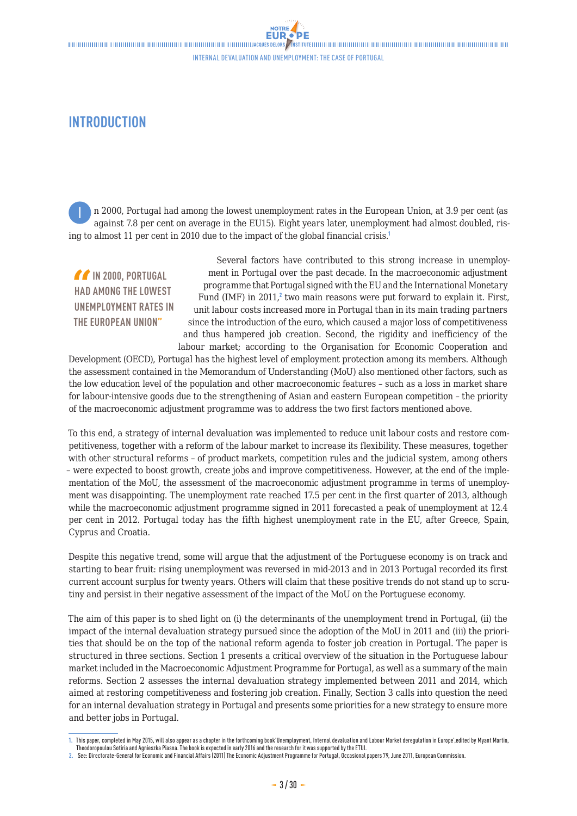# <span id="page-2-0"></span>**INTRODUCTION**

n 2000, Portugal had among the lowest unemployment rates in the European Union, at 3.9 per cent (as against 7.8 per cent on average in the EU15). Eight years later, unemployment had almost doubled, rising to almost 11 per cent in 2010 due to the impact of the global financial crisis.<sup>1</sup> I

 **IN 2000, PORTUGAL HAD AMONG THE LOWEST UNEMPLOYMENT RATES IN THE EUROPEAN UNION"**

Several factors have contributed to this strong increase in unemployment in Portugal over the past decade. In the macroeconomic adjustment programme that Portugal signed with the EU and the International Monetary Fund (IMF) in 2011,<sup>2</sup> two main reasons were put forward to explain it. First, unit labour costs increased more in Portugal than in its main trading partners since the introduction of the euro, which caused a major loss of competitiveness and thus hampered job creation. Second, the rigidity and inefficiency of the labour market; according to the Organisation for Economic Cooperation and

Development (OECD), Portugal has the highest level of employment protection among its members. Although the assessment contained in the Memorandum of Understanding (MoU) also mentioned other factors, such as the low education level of the population and other macroeconomic features – such as a loss in market share for labour-intensive goods due to the strengthening of Asian and eastern European competition – the priority of the macroeconomic adjustment programme was to address the two first factors mentioned above.

To this end, a strategy of internal devaluation was implemented to reduce unit labour costs and restore competitiveness, together with a reform of the labour market to increase its flexibility. These measures, together with other structural reforms – of product markets, competition rules and the judicial system, among others – were expected to boost growth, create jobs and improve competitiveness. However, at the end of the implementation of the MoU, the assessment of the macroeconomic adjustment programme in terms of unemployment was disappointing. The unemployment rate reached 17.5 per cent in the first quarter of 2013, although while the macroeconomic adjustment programme signed in 2011 forecasted a peak of unemployment at 12.4 per cent in 2012. Portugal today has the fifth highest unemployment rate in the EU, after Greece, Spain, Cyprus and Croatia.

Despite this negative trend, some will argue that the adjustment of the Portuguese economy is on track and starting to bear fruit: rising unemployment was reversed in mid-2013 and in 2013 Portugal recorded its first current account surplus for twenty years. Others will claim that these positive trends do not stand up to scrutiny and persist in their negative assessment of the impact of the MoU on the Portuguese economy.

The aim of this paper is to shed light on (i) the determinants of the unemployment trend in Portugal, (ii) the impact of the internal devaluation strategy pursued since the adoption of the MoU in 2011 and (iii) the priorities that should be on the top of the national reform agenda to foster job creation in Portugal. The paper is structured in three sections. Section 1 presents a critical overview of the situation in the Portuguese labour market included in the Macroeconomic Adjustment Programme for Portugal, as well as a summary of the main reforms. Section 2 assesses the internal devaluation strategy implemented between 2011 and 2014, which aimed at restoring competitiveness and fostering job creation. Finally, Section 3 calls into question the need for an internal devaluation strategy in Portugal and presents some priorities for a new strategy to ensure more and better jobs in Portugal.

**<sup>1.</sup>** This paper, completed in May 2015, will also appear as a chapter in the forthcoming book'Unemployment, Internal devaluation and Labour Market deregulation in Europe',edited by Myant Martin, Theodoropoulou Sotiria and Agnieszka Piasna. The book is expected in early 2016 and the research for it was supported by the ETUI.

**<sup>2.</sup>** See: Directorate-General for Economic and Financial Affairs (2011) [The Economic Adjustment Programme for Portugal](http://ec.europa.eu/economy_finance/publications/occasional_paper/2011/pdf/ocp79_en.pdf), Occasional papers 79, June 2011, European Commission.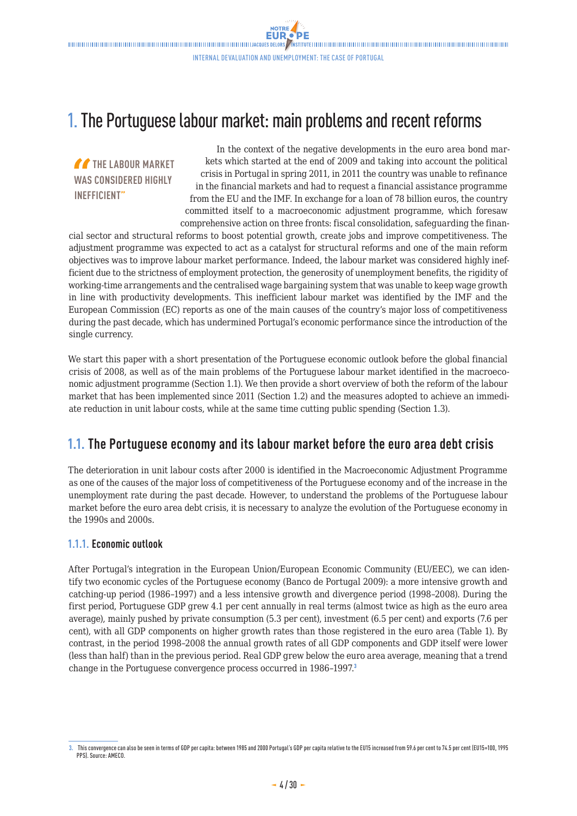# <span id="page-3-0"></span>1. The Portuguese labour market: main problems and recent reforms

**THE LABOUR MARKET WAS CONSIDERED HIGHLY INEFFICIENT"**

In the context of the negative developments in the euro area bond markets which started at the end of 2009 and taking into account the political crisis in Portugal in spring 2011, in 2011 the country was unable to refinance in the financial markets and had to request a financial assistance programme from the EU and the IMF. In exchange for a loan of 78 billion euros, the country committed itself to a macroeconomic adjustment programme, which foresaw comprehensive action on three fronts: fiscal consolidation, safeguarding the finan-

cial sector and structural reforms to boost potential growth, create jobs and improve competitiveness. The adjustment programme was expected to act as a catalyst for structural reforms and one of the main reform objectives was to improve labour market performance. Indeed, the labour market was considered highly inefficient due to the strictness of employment protection, the generosity of unemployment benefits, the rigidity of working-time arrangements and the centralised wage bargaining system that was unable to keep wage growth in line with productivity developments. This inefficient labour market was identified by the IMF and the European Commission (EC) reports as one of the main causes of the country's major loss of competitiveness during the past decade, which has undermined Portugal's economic performance since the introduction of the single currency.

We start this paper with a short presentation of the Portuguese economic outlook before the global financial crisis of 2008, as well as of the main problems of the Portuguese labour market identified in the macroeconomic adjustment programme (Section 1.1). We then provide a short overview of both the reform of the labour market that has been implemented since 2011 (Section 1.2) and the measures adopted to achieve an immediate reduction in unit labour costs, while at the same time cutting public spending (Section 1.3).

# **1.1. The Portuguese economy and its labour market before the euro area debt crisis**

The deterioration in unit labour costs after 2000 is identified in the Macroeconomic Adjustment Programme as one of the causes of the major loss of competitiveness of the Portuguese economy and of the increase in the unemployment rate during the past decade. However, to understand the problems of the Portuguese labour market before the euro area debt crisis, it is necessary to analyze the evolution of the Portuguese economy in the 1990s and 2000s.

### **1.1.1. Economic outlook**

After Portugal's integration in the European Union/European Economic Community (EU/EEC), we can identify two economic cycles of the Portuguese economy (Banco de Portugal 2009): a more intensive growth and catching-up period (1986–1997) and a less intensive growth and divergence period (1998–2008). During the first period, Portuguese GDP grew 4.1 per cent annually in real terms (almost twice as high as the euro area average), mainly pushed by private consumption (5.3 per cent), investment (6.5 per cent) and exports (7.6 per cent), with all GDP components on higher growth rates than those registered in the euro area (Table 1). By contrast, in the period 1998–2008 the annual growth rates of all GDP components and GDP itself were lower (less than half) than in the previous period. Real GDP grew below the euro area average, meaning that a trend change in the Portuguese convergence process occurred in 1986-1997.<sup>3</sup>

**<sup>3.</sup>** This convergence can also be seen in terms of GDP per capita: between 1985 and 2000 Portugal's GDP per capita relative to the EU15 increased from 59.6 per cent to 74.5 per cent (EU15=100, 1995 PPS). Source: AMECO.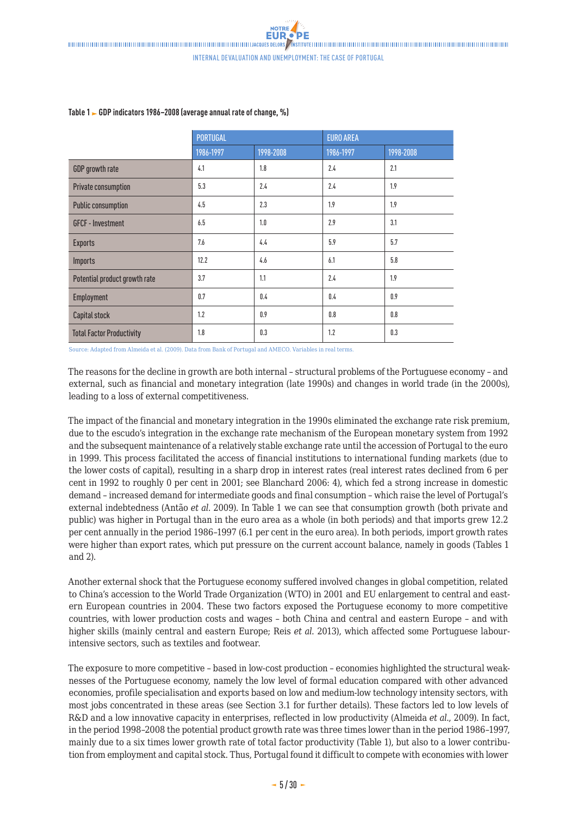|                                  | <b>PORTUGAL</b> |           | <b>EURO AREA</b> |           |
|----------------------------------|-----------------|-----------|------------------|-----------|
|                                  | 1986-1997       | 1998-2008 | 1986-1997        | 1998-2008 |
| GDP growth rate                  | 4.1             | 1.8       | 2.4              | 2.1       |
| Private consumption              | 5.3             | 2.4       | 2.4              | 1.9       |
| <b>Public consumption</b>        | 4.5             | 2.3       | 1.9              | 1.9       |
| <b>GFCF - Investment</b>         | 6.5             | 1.0       | 2.9              | 3.1       |
| <b>Exports</b>                   | 7.6             | 4.4       | 5.9              | 5.7       |
| Imports                          | 12.2            | 4.6       | 6.1              | 5.8       |
| Potential product growth rate    | 3.7             | 1.1       | 2.4              | 1.9       |
| Employment                       | 0.7             | 0.4       | 0.4              | 0.9       |
| Capital stock                    | 1.2             | 0.9       | 0.8              | 0.8       |
| <b>Total Factor Productivity</b> | 1.8             | 0.3       | 1.2              | 0.3       |

### **Table 1 GDP indicators 1986–2008 (average annual rate of change, %)**

Source: Adapted from Almeida et al. (2009). Data from Bank of Portugal and AMECO. Variables in real terms.

The reasons for the decline in growth are both internal – structural problems of the Portuguese economy – and external, such as financial and monetary integration (late 1990s) and changes in world trade (in the 2000s), leading to a loss of external competitiveness.

The impact of the financial and monetary integration in the 1990s eliminated the exchange rate risk premium, due to the escudo's integration in the exchange rate mechanism of the European monetary system from 1992 and the subsequent maintenance of a relatively stable exchange rate until the accession of Portugal to the euro in 1999. This process facilitated the access of financial institutions to international funding markets (due to the lower costs of capital), resulting in a sharp drop in interest rates (real interest rates declined from 6 per cent in 1992 to roughly 0 per cent in 2001; see Blanchard 2006: 4), which fed a strong increase in domestic demand – increased demand for intermediate goods and final consumption – which raise the level of Portugal's external indebtedness (Antão *et al*. 2009). In Table 1 we can see that consumption growth (both private and public) was higher in Portugal than in the euro area as a whole (in both periods) and that imports grew 12.2 per cent annually in the period 1986–1997 (6.1 per cent in the euro area). In both periods, import growth rates were higher than export rates, which put pressure on the current account balance, namely in goods (Tables 1 and 2).

Another external shock that the Portuguese economy suffered involved changes in global competition, related to China's accession to the World Trade Organization (WTO) in 2001 and EU enlargement to central and eastern European countries in 2004. These two factors exposed the Portuguese economy to more competitive countries, with lower production costs and wages – both China and central and eastern Europe – and with higher skills (mainly central and eastern Europe; Reis *et al*. 2013), which affected some Portuguese labourintensive sectors, such as textiles and footwear.

The exposure to more competitive – based in low-cost production – economies highlighted the structural weaknesses of the Portuguese economy, namely the low level of formal education compared with other advanced economies, profile specialisation and exports based on low and medium-low technology intensity sectors, with most jobs concentrated in these areas (see Section 3.1 for further details). These factors led to low levels of R&D and a low innovative capacity in enterprises, reflected in low productivity (Almeida *et al*., 2009). In fact, in the period 1998–2008 the potential product growth rate was three times lower than in the period 1986–1997, mainly due to a six times lower growth rate of total factor productivity (Table 1), but also to a lower contribution from employment and capital stock. Thus, Portugal found it difficult to compete with economies with lower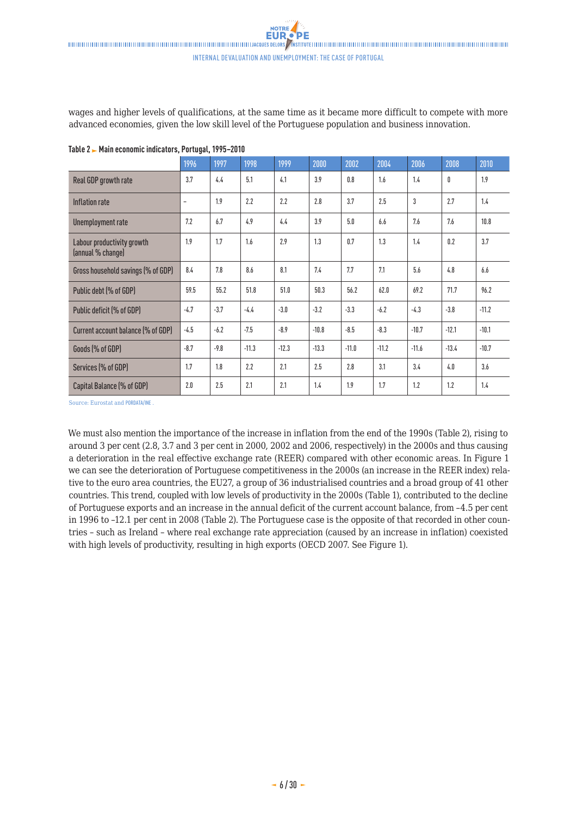wages and higher levels of qualifications, at the same time as it became more difficult to compete with more advanced economies, given the low skill level of the Portuguese population and business innovation.

|                                                 | 1996                     | 1997   | 1998    | 1999    | 2000    | 2002    | 2004    | 2006         | 2008    | 2010    |
|-------------------------------------------------|--------------------------|--------|---------|---------|---------|---------|---------|--------------|---------|---------|
| Real GDP growth rate                            | 3.7                      | 4.4    | 5.1     | 4.1     | 3.9     | 0.8     | 1.6     | 1.4          | 0       | 1.9     |
| Inflation rate                                  | $\overline{\phantom{a}}$ | 1.9    | 2.2     | 2.2     | 2.8     | 3.7     | 2.5     | $\mathbf{3}$ | 2.7     | 1.4     |
| Unemployment rate                               | 7.2                      | 6.7    | 4.9     | 4.4     | 3.9     | 5.0     | 6.6     | 7.6          | 7.6     | 10.8    |
| Labour productivity growth<br>(annual % change) | 1.9                      | 1.7    | 1.6     | 2.9     | 1.3     | 0.7     | 1.3     | 1.4          | 0.2     | 3.7     |
| Gross household savings (% of GDP)              | 8.4                      | 7.8    | 8.6     | 8.1     | 7.4     | 7.7     | 7.1     | 5.6          | 4.8     | 6.6     |
| Public debt (% of GDP)                          | 59.5                     | 55.2   | 51.8    | 51.0    | 50.3    | 56.2    | 62.0    | 69.2         | 71.7    | 96.2    |
| Public deficit (% of GDP)                       | $-4.7$                   | $-3.7$ | $-4.4$  | $-3.0$  | $-3.2$  | $-3.3$  | $-6.2$  | $-4.3$       | $-3.8$  | $-11.2$ |
| Current account balance (% of GDP)              | $-4.5$                   | $-6.2$ | $-7.5$  | $-8.9$  | $-10.8$ | $-8.5$  | $-8.3$  | $-10.7$      | $-12.1$ | $-10.1$ |
| Goods (% of GDP)                                | $-8.7$                   | $-9.8$ | $-11.3$ | $-12.3$ | $-13.3$ | $-11.0$ | $-11.2$ | $-11.6$      | $-13.4$ | $-10.7$ |
| Services (% of GDP)                             | 1.7                      | 1.8    | 2.2     | 2.1     | 2.5     | 2.8     | 3.1     | 3.4          | 4.0     | 3.6     |
| Capital Balance (% of GDP)                      | 2.0                      | 2.5    | 2.1     | 2.1     | 1.4     | 1.9     | 1.7     | 1.2          | 1.2     | 1.4     |

**Table 2 Main economic indicators, Portugal, 1995–2010**

Source: Eurostat and [PORDATA/INE](http://www.pordata.pt/Portugal/Taxa+de+desemprego+total+e+por+sexo+%28percentagem%29+%28R%29-550)

We must also mention the importance of the increase in inflation from the end of the 1990s (Table 2), rising to around 3 per cent (2.8, 3.7 and 3 per cent in 2000, 2002 and 2006, respectively) in the 2000s and thus causing a deterioration in the real effective exchange rate (REER) compared with other economic areas. In Figure 1 we can see the deterioration of Portuguese competitiveness in the 2000s (an increase in the REER index) relative to the euro area countries, the EU27, a group of 36 industrialised countries and a broad group of 41 other countries. This trend, coupled with low levels of productivity in the 2000s (Table 1), contributed to the decline of Portuguese exports and an increase in the annual deficit of the current account balance, from –4.5 per cent in 1996 to –12.1 per cent in 2008 (Table 2). The Portuguese case is the opposite of that recorded in other countries – such as Ireland – where real exchange rate appreciation (caused by an increase in inflation) coexisted with high levels of productivity, resulting in high exports (OECD 2007. See Figure 1).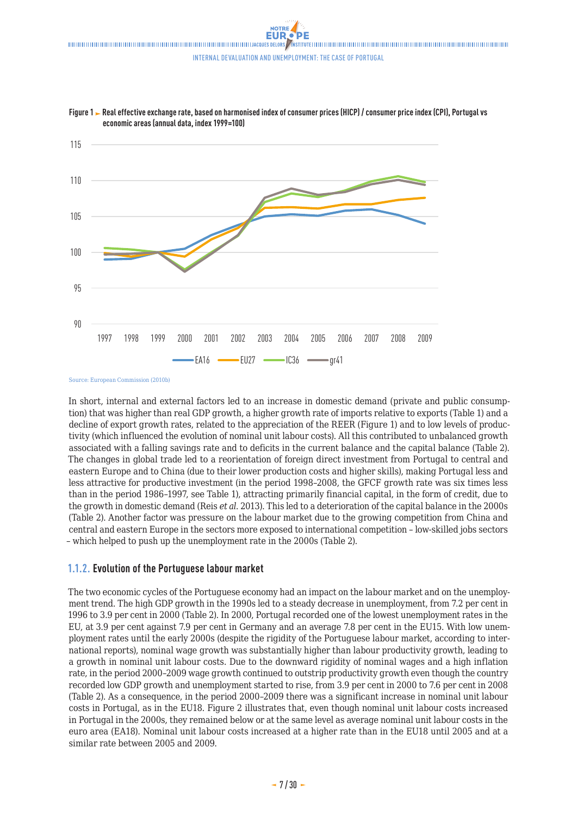

<span id="page-6-0"></span>Figure 1 Real effective exchange rate, based on harmonised index of consumer prices (HICP) / consumer price index (CPI), Portugal vs **economic areas (annual data, index 1999=100)**

Source: European Commission (2010b)

In short, internal and external factors led to an increase in domestic demand (private and public consumption) that was higher than real GDP growth, a higher growth rate of imports relative to exports (Table 1) and a decline of export growth rates, related to the appreciation of the REER (Figure 1) and to low levels of productivity (which influenced the evolution of nominal unit labour costs). All this contributed to unbalanced growth associated with a falling savings rate and to deficits in the current balance and the capital balance (Table 2). The changes in global trade led to a reorientation of foreign direct investment from Portugal to central and eastern Europe and to China (due to their lower production costs and higher skills), making Portugal less and less attractive for productive investment (in the period 1998–2008, the GFCF growth rate was six times less than in the period 1986–1997, see Table 1), attracting primarily financial capital, in the form of credit, due to the growth in domestic demand (Reis *et al*. 2013). This led to a deterioration of the capital balance in the 2000s (Table 2). Another factor was pressure on the labour market due to the growing competition from China and central and eastern Europe in the sectors more exposed to international competition – low-skilled jobs sectors – which helped to push up the unemployment rate in the 2000s (Table 2).

### **1.1.2. Evolution of the Portuguese labour market**

The two economic cycles of the Portuguese economy had an impact on the labour market and on the unemployment trend. The high GDP growth in the 1990s led to a steady decrease in unemployment, from 7.2 per cent in 1996 to 3.9 per cent in 2000 (Table 2). In 2000, Portugal recorded one of the lowest unemployment rates in the EU, at 3.9 per cent against 7.9 per cent in Germany and an average 7.8 per cent in the EU15. With low unemployment rates until the early 2000s (despite the rigidity of the Portuguese labour market, according to international reports), nominal wage growth was substantially higher than labour productivity growth, leading to a growth in nominal unit labour costs. Due to the downward rigidity of nominal wages and a high inflation rate, in the period 2000–2009 wage growth continued to outstrip productivity growth even though the country recorded low GDP growth and unemployment started to rise, from 3.9 per cent in 2000 to 7.6 per cent in 2008 (Table 2). As a consequence, in the period 2000–2009 there was a significant increase in nominal unit labour costs in Portugal, as in the EU18. Figure 2 illustrates that, even though nominal unit labour costs increased in Portugal in the 2000s, they remained below or at the same level as average nominal unit labour costs in the euro area (EA18). Nominal unit labour costs increased at a higher rate than in the EU18 until 2005 and at a similar rate between 2005 and 2009.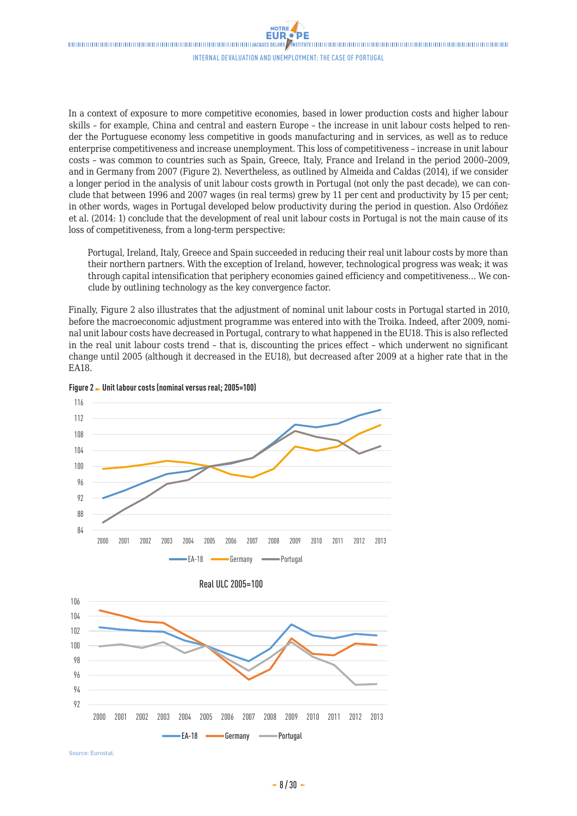In a context of exposure to more competitive economies, based in lower production costs and higher labour skills – for example, China and central and eastern Europe – the increase in unit labour costs helped to render the Portuguese economy less competitive in goods manufacturing and in services, as well as to reduce enterprise competitiveness and increase unemployment. This loss of competitiveness – increase in unit labour costs – was common to countries such as Spain, Greece, Italy, France and Ireland in the period 2000–2009, and in Germany from 2007 (Figure 2). Nevertheless, as outlined by Almeida and Caldas (2014), if we consider a longer period in the analysis of unit labour costs growth in Portugal (not only the past decade), we can conclude that between 1996 and 2007 wages (in real terms) grew by 11 per cent and productivity by 15 per cent; in other words, wages in Portugal developed below productivity during the period in question. Also Ordóñez et al. (2014: 1) conclude that the development of real unit labour costs in Portugal is not the main cause of its loss of competitiveness, from a long-term perspective:

Portugal, Ireland, Italy, Greece and Spain succeeded in reducing their real unit labour costs by more than their northern partners. With the exception of Ireland, however, technological progress was weak; it was through capital intensification that periphery economies gained efficiency and competitiveness… We conclude by outlining technology as the key convergence factor.

Finally, Figure 2 also illustrates that the adjustment of nominal unit labour costs in Portugal started in 2010, before the macroeconomic adjustment programme was entered into with the Troika. Indeed, after 2009, nominal unit labour costs have decreased in Portugal, contrary to what happened in the EU18. This is also reflected in the real unit labour costs trend – that is, discounting the prices effect – which underwent no significant change until 2005 (although it decreased in the EU18), but decreased after 2009 at a higher rate that in the EA18.





Source: Eurostat.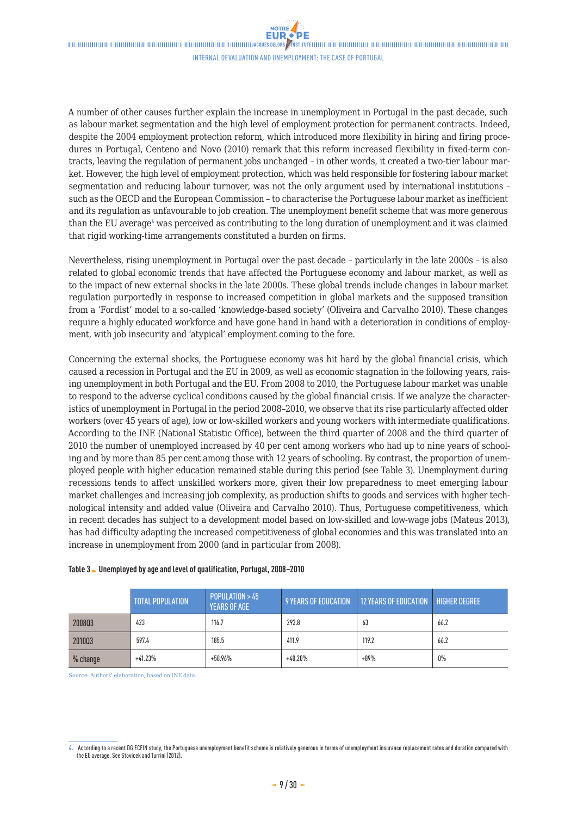A number of other causes further explain the increase in unemployment in Portugal in the past decade, such as labour market segmentation and the high level of employment protection for permanent contracts. Indeed, despite the 2004 employment protection reform, which introduced more flexibility in hiring and firing procedures in Portugal, Centeno and Novo (2010) remark that this reform increased flexibility in fixed-term contracts, leaving the regulation of permanent jobs unchanged – in other words, it created a two-tier labour market. However, the high level of employment protection, which was held responsible for fostering labour market segmentation and reducing labour turnover, was not the only argument used by international institutions – such as the OECD and the European Commission – to characterise the Portuguese labour market as inefficient and its regulation as unfavourable to job creation. The unemployment benefit scheme that was more generous than the EU average<sup>4</sup> was perceived as contributing to the long duration of unemployment and it was claimed that rigid working-time arrangements constituted a burden on firms.

Nevertheless, rising unemployment in Portugal over the past decade – particularly in the late 2000s – is also related to global economic trends that have affected the Portuguese economy and labour market, as well as to the impact of new external shocks in the late 2000s. These global trends include changes in labour market regulation purportedly in response to increased competition in global markets and the supposed transition from a 'Fordist' model to a so-called 'knowledge-based society' (Oliveira and Carvalho 2010). These changes require a highly educated workforce and have gone hand in hand with a deterioration in conditions of employment, with job insecurity and 'atypical' employment coming to the fore.

Concerning the external shocks, the Portuguese economy was hit hard by the global financial crisis, which caused a recession in Portugal and the EU in 2009, as well as economic stagnation in the following years, raising unemployment in both Portugal and the EU. From 2008 to 2010, the Portuguese labour market was unable to respond to the adverse cyclical conditions caused by the global financial crisis. If we analyze the characteristics of unemployment in Portugal in the period 2008–2010, we observe that its rise particularly affected older workers (over 45 years of age), low or low-skilled workers and young workers with intermediate qualifications. According to the INE (National Statistic Office), between the third quarter of 2008 and the third quarter of 2010 the number of unemployed increased by 40 per cent among workers who had up to nine years of schooling and by more than 85 per cent among those with 12 years of schooling. By contrast, the proportion of unemployed people with higher education remained stable during this period (see Table 3). Unemployment during recessions tends to affect unskilled workers more, given their low preparedness to meet emerging labour market challenges and increasing job complexity, as production shifts to goods and services with higher technological intensity and added value (Oliveira and Carvalho 2010). Thus, Portuguese competitiveness, which in recent decades has subject to a development model based on low-skilled and low-wage jobs (Mateus 2013), has had difficulty adapting the increased competitiveness of global economies and this was translated into an increase in unemployment from 2000 (and in particular from 2008).

|          | <b>TOTAL POPULATION</b> | POPULATION > 45<br><b>YEARS OF AGE</b> | 9 YEARS OF EDUCATION | <b>12 YEARS OF EDUCATION</b> | <b>HIGHER DEGREE</b> |
|----------|-------------------------|----------------------------------------|----------------------|------------------------------|----------------------|
| 200803   | 423                     | 116.7                                  | 293.8                | 63                           | 66.2                 |
| 201003   | 597.4                   | 185.5                                  | 411.9                | 119.2                        | 66.2                 |
| % change | $+41.23%$               | $+58.96%$                              | $+40.20\%$           | $+89%$                       | $0\%$                |

### **Table 3 Unemployed by age and level of qualification, Portugal, 2008–2010**

Source: Authors' elaboration, based on INE data.

**<sup>4.</sup>** According to a recent DG ECFIN study, the Portuguese unemployment benefit scheme is relatively generous in terms of unemployment insurance replacement rates and duration compared with the EU average. See Stovicek and Turrini (2012).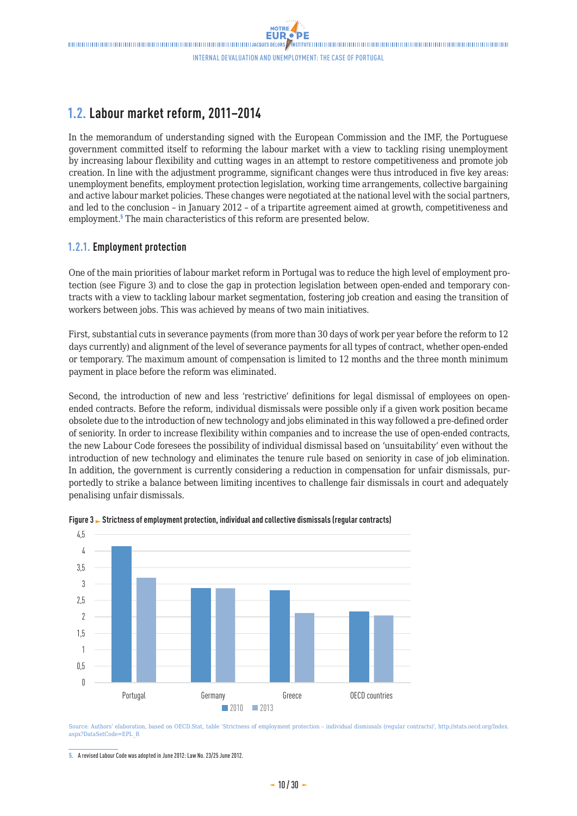# <span id="page-9-0"></span>**1.2. Labour market reform, 2011–2014**

In the memorandum of understanding signed with the European Commission and the IMF, the Portuguese government committed itself to reforming the labour market with a view to tackling rising unemployment by increasing labour flexibility and cutting wages in an attempt to restore competitiveness and promote job creation. In line with the adjustment programme, significant changes were thus introduced in five key areas: unemployment benefits, employment protection legislation, working time arrangements, collective bargaining and active labour market policies. These changes were negotiated at the national level with the social partners, and led to the conclusion – in January 2012 – of a tripartite agreement aimed at growth, competitiveness and employment.<sup>5</sup> The main characteristics of this reform are presented below.

### **1.2.1. Employment protection**

One of the main priorities of labour market reform in Portugal was to reduce the high level of employment protection (see Figure 3) and to close the gap in protection legislation between open-ended and temporary contracts with a view to tackling labour market segmentation, fostering job creation and easing the transition of workers between jobs. This was achieved by means of two main initiatives.

First, substantial cuts in severance payments (from more than 30 days of work per year before the reform to 12 days currently) and alignment of the level of severance payments for all types of contract, whether open-ended or temporary. The maximum amount of compensation is limited to 12 months and the three month minimum payment in place before the reform was eliminated.

Second, the introduction of new and less 'restrictive' definitions for legal dismissal of employees on openended contracts. Before the reform, individual dismissals were possible only if a given work position became obsolete due to the introduction of new technology and jobs eliminated in this way followed a pre-defined order of seniority. In order to increase flexibility within companies and to increase the use of open-ended contracts, the new Labour Code foresees the possibility of individual dismissal based on 'unsuitability' even without the introduction of new technology and eliminates the tenure rule based on seniority in case of job elimination. In addition, the government is currently considering a reduction in compensation for unfair dismissals, purportedly to strike a balance between limiting incentives to challenge fair dismissals in court and adequately penalising unfair dismissals.





Source: Authors' elaboration, based on OECD.Stat, table 'Strictness of employment protection – individual dismissals (regular contracts)', http://stats.oecd.org/Index. aspx?DataSetCode=EPL\_R

**<sup>5.</sup>** A revised Labour Code was adopted in June 2012: Law No. 23/25 June 2012.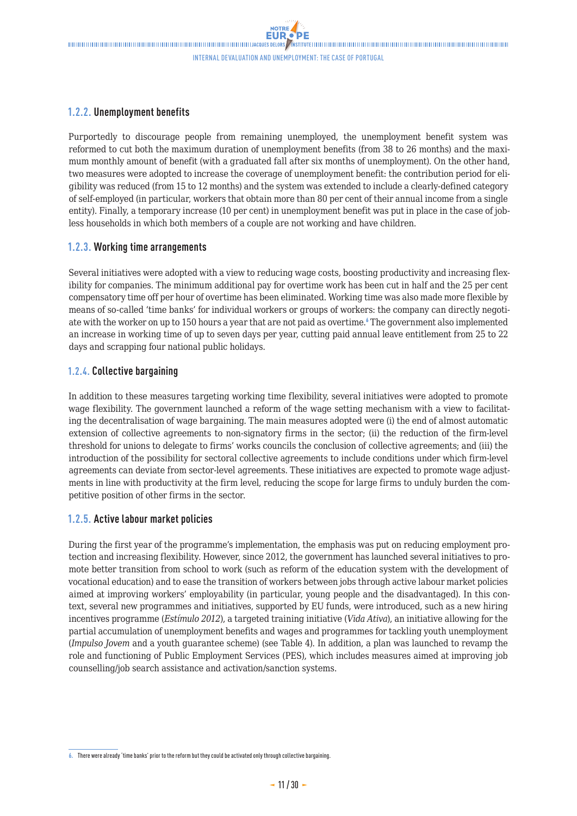### <span id="page-10-0"></span>**1.2.2. Unemployment benefits**

Purportedly to discourage people from remaining unemployed, the unemployment benefit system was reformed to cut both the maximum duration of unemployment benefits (from 38 to 26 months) and the maximum monthly amount of benefit (with a graduated fall after six months of unemployment). On the other hand, two measures were adopted to increase the coverage of unemployment benefit: the contribution period for eligibility was reduced (from 15 to 12 months) and the system was extended to include a clearly-defined category of self-employed (in particular, workers that obtain more than 80 per cent of their annual income from a single entity). Finally, a temporary increase (10 per cent) in unemployment benefit was put in place in the case of jobless households in which both members of a couple are not working and have children.

### **1.2.3. Working time arrangements**

Several initiatives were adopted with a view to reducing wage costs, boosting productivity and increasing flexibility for companies. The minimum additional pay for overtime work has been cut in half and the 25 per cent compensatory time off per hour of overtime has been eliminated. Working time was also made more flexible by means of so-called 'time banks' for individual workers or groups of workers: the company can directly negotiate with the worker on up to 150 hours a year that are not paid as overtime. The government also implemented an increase in working time of up to seven days per year, cutting paid annual leave entitlement from 25 to 22 days and scrapping four national public holidays.

### **1.2.4. Collective bargaining**

In addition to these measures targeting working time flexibility, several initiatives were adopted to promote wage flexibility. The government launched a reform of the wage setting mechanism with a view to facilitating the decentralisation of wage bargaining. The main measures adopted were (i) the end of almost automatic extension of collective agreements to non-signatory firms in the sector; (ii) the reduction of the firm-level threshold for unions to delegate to firms' works councils the conclusion of collective agreements; and (iii) the introduction of the possibility for sectoral collective agreements to include conditions under which firm-level agreements can deviate from sector-level agreements. These initiatives are expected to promote wage adjustments in line with productivity at the firm level, reducing the scope for large firms to unduly burden the competitive position of other firms in the sector.

### **1.2.5. Active labour market policies**

During the first year of the programme's implementation, the emphasis was put on reducing employment protection and increasing flexibility. However, since 2012, the government has launched several initiatives to promote better transition from school to work (such as reform of the education system with the development of vocational education) and to ease the transition of workers between jobs through active labour market policies aimed at improving workers' employability (in particular, young people and the disadvantaged). In this context, several new programmes and initiatives, supported by EU funds, were introduced, such as a new hiring incentives programme (*Estímulo 2012*), a targeted training initiative (*Vida Ativa*), an initiative allowing for the partial accumulation of unemployment benefits and wages and programmes for tackling youth unemployment (*Impulso Jovem* and a youth guarantee scheme) (see Table 4). In addition, a plan was launched to revamp the role and functioning of Public Employment Services (PES), which includes measures aimed at improving job counselling/job search assistance and activation/sanction systems.

**<sup>6.</sup>** There were already 'time banks' prior to the reform but they could be activated only through collective bargaining.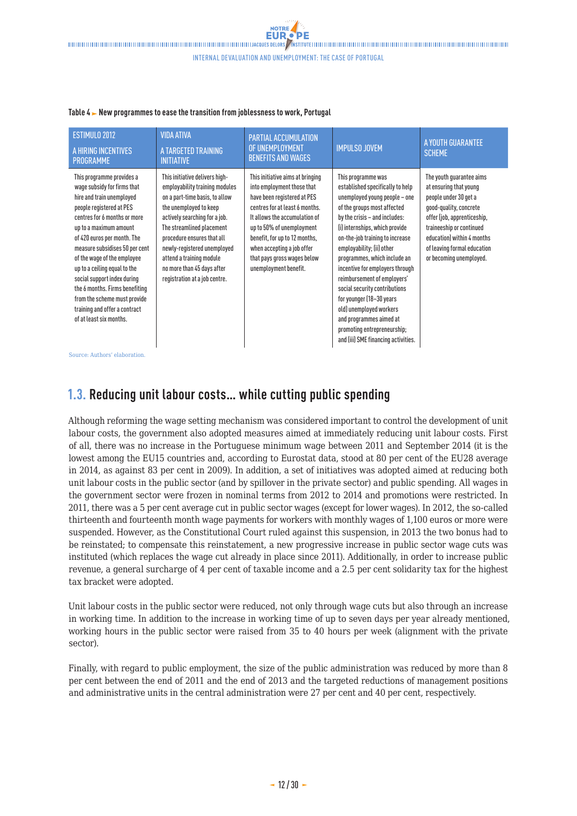| ESTIMULO 2012<br>A HIRING INCENTIVES<br><b>PROGRAMME</b>                                                                                                                                                                                                                                                                                                                                                                                                                 | <b>VIDA ATIVA</b><br>A TARGETED TRAINING<br><b>INITIATIVE</b>                                                                                                                                                                                                                                                                                      | <b>PARTIAL ACCUMULATION</b><br>OF UNEMPLOYMENT<br><b>BENEFITS AND WAGES</b>                                                                                                                                                                                                                                          | <b>IMPULSO JOVEM</b>                                                                                                                                                                                                                                                                                                                                                                                                                                                                                                                                 | A YOUTH GUARANTEE<br><b>SCHEME</b>                                                                                                                                                                                                                       |
|--------------------------------------------------------------------------------------------------------------------------------------------------------------------------------------------------------------------------------------------------------------------------------------------------------------------------------------------------------------------------------------------------------------------------------------------------------------------------|----------------------------------------------------------------------------------------------------------------------------------------------------------------------------------------------------------------------------------------------------------------------------------------------------------------------------------------------------|----------------------------------------------------------------------------------------------------------------------------------------------------------------------------------------------------------------------------------------------------------------------------------------------------------------------|------------------------------------------------------------------------------------------------------------------------------------------------------------------------------------------------------------------------------------------------------------------------------------------------------------------------------------------------------------------------------------------------------------------------------------------------------------------------------------------------------------------------------------------------------|----------------------------------------------------------------------------------------------------------------------------------------------------------------------------------------------------------------------------------------------------------|
| This programme provides a<br>wage subsidy for firms that<br>hire and train unemployed<br>people registered at PES<br>centres for 6 months or more<br>up to a maximum amount<br>of 420 euros per month. The<br>measure subsidises 50 per cent<br>of the wage of the employee<br>up to a ceiling equal to the<br>social support index during<br>the 6 months. Firms benefiting<br>from the scheme must provide<br>training and offer a contract<br>of at least six months. | This initiative delivers high-<br>employability training modules<br>on a part-time basis, to allow<br>the unemployed to keep<br>actively searching for a job.<br>The streamlined placement<br>procedure ensures that all<br>newly-registered unemployed<br>attend a training module<br>no more than 45 days after<br>registration at a job centre. | This initiative aims at bringing<br>into employment those that<br>have been registered at PES<br>centres for at least 6 months.<br>It allows the accumulation of<br>up to 50% of unemployment<br>benefit, for up to 12 months,<br>when accepting a job offer<br>that pays gross wages below<br>unemployment benefit. | This programme was<br>established specifically to help<br>unemployed young people - one<br>of the groups most affected<br>by the crisis - and includes:<br>(i) internships, which provide<br>on-the-job training to increase<br>employability; (ii) other<br>programmes, which include an<br>incentive for employers through<br>reimbursement of employers'<br>social security contributions<br>for younger (18-30 years<br>old) unemployed workers<br>and programmes aimed at<br>promoting entrepreneurship;<br>and (iii) SME financing activities. | The youth quarantee aims<br>at ensuring that young<br>people under 30 get a<br>good-quality, concrete<br>offer (job, apprenticeship,<br>traineeship or continued<br>education) within 4 months<br>of leaving formal education<br>or becoming unemployed. |
| Source: Authors' elaboration.                                                                                                                                                                                                                                                                                                                                                                                                                                            |                                                                                                                                                                                                                                                                                                                                                    |                                                                                                                                                                                                                                                                                                                      |                                                                                                                                                                                                                                                                                                                                                                                                                                                                                                                                                      |                                                                                                                                                                                                                                                          |

#### <span id="page-11-0"></span>Table 4  $\blacktriangleright$  New programmes to ease the transition from joblessness to work, Portugal

## **1.3. Reducing unit labour costs… while cutting public spending**

Although reforming the wage setting mechanism was considered important to control the development of unit labour costs, the government also adopted measures aimed at immediately reducing unit labour costs. First of all, there was no increase in the Portuguese minimum wage between 2011 and September 2014 (it is the lowest among the EU15 countries and, according to Eurostat data, stood at 80 per cent of the EU28 average in 2014, as against 83 per cent in 2009). In addition, a set of initiatives was adopted aimed at reducing both unit labour costs in the public sector (and by spillover in the private sector) and public spending. All wages in the government sector were frozen in nominal terms from 2012 to 2014 and promotions were restricted. In 2011, there was a 5 per cent average cut in public sector wages (except for lower wages). In 2012, the so-called thirteenth and fourteenth month wage payments for workers with monthly wages of 1,100 euros or more were suspended. However, as the Constitutional Court ruled against this suspension, in 2013 the two bonus had to be reinstated; to compensate this reinstatement, a new progressive increase in public sector wage cuts was instituted (which replaces the wage cut already in place since 2011). Additionally, in order to increase public revenue, a general surcharge of 4 per cent of taxable income and a 2.5 per cent solidarity tax for the highest tax bracket were adopted.

Unit labour costs in the public sector were reduced, not only through wage cuts but also through an increase in working time. In addition to the increase in working time of up to seven days per year already mentioned, working hours in the public sector were raised from 35 to 40 hours per week (alignment with the private sector).

Finally, with regard to public employment, the size of the public administration was reduced by more than 8 per cent between the end of 2011 and the end of 2013 and the targeted reductions of management positions and administrative units in the central administration were 27 per cent and 40 per cent, respectively.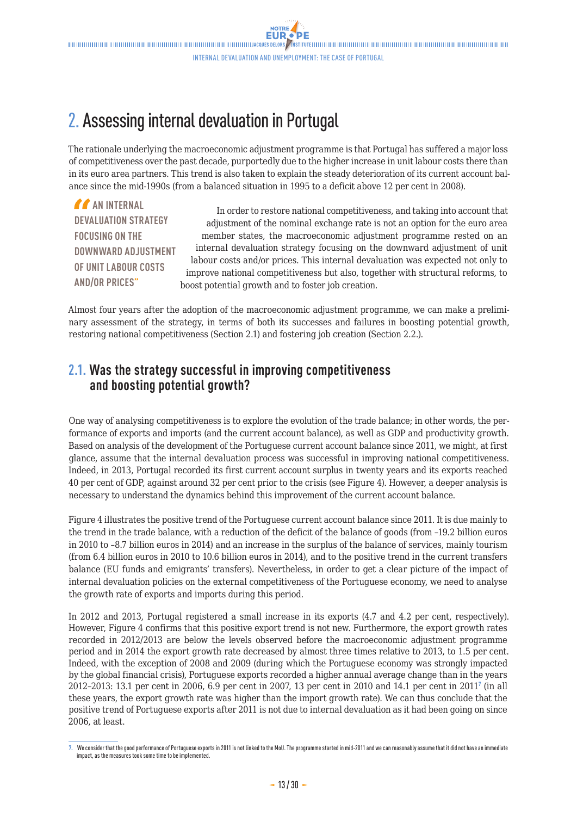# <span id="page-12-0"></span>2. Assessing internal devaluation in Portugal

The rationale underlying the macroeconomic adjustment programme is that Portugal has suffered a major loss of competitiveness over the past decade, purportedly due to the higher increase in unit labour costs there than in its euro area partners. This trend is also taken to explain the steady deterioration of its current account balance since the mid-1990s (from a balanced situation in 1995 to a deficit above 12 per cent in 2008).

**AN INTERNAL DEVALUATION STRATEGY FOCUSING ON THE DOWNWARD ADJUSTMENT OF UNIT LABOUR COSTS AND/OR PRICES"**

In order to restore national competitiveness, and taking into account that adjustment of the nominal exchange rate is not an option for the euro area member states, the macroeconomic adjustment programme rested on an internal devaluation strategy focusing on the downward adjustment of unit labour costs and/or prices. This internal devaluation was expected not only to improve national competitiveness but also, together with structural reforms, to boost potential growth and to foster job creation.

Almost four years after the adoption of the macroeconomic adjustment programme, we can make a preliminary assessment of the strategy, in terms of both its successes and failures in boosting potential growth, restoring national competitiveness (Section 2.1) and fostering job creation (Section 2.2.).

## **2.1. Was the strategy successful in improving competitiveness and boosting potential growth?**

One way of analysing competitiveness is to explore the evolution of the trade balance; in other words, the performance of exports and imports (and the current account balance), as well as GDP and productivity growth. Based on analysis of the development of the Portuguese current account balance since 2011, we might, at first glance, assume that the internal devaluation process was successful in improving national competitiveness. Indeed, in 2013, Portugal recorded its first current account surplus in twenty years and its exports reached 40 per cent of GDP, against around 32 per cent prior to the crisis (see Figure 4). However, a deeper analysis is necessary to understand the dynamics behind this improvement of the current account balance.

Figure 4 illustrates the positive trend of the Portuguese current account balance since 2011. It is due mainly to the trend in the trade balance, with a reduction of the deficit of the balance of goods (from –19.2 billion euros in 2010 to –8.7 billion euros in 2014) and an increase in the surplus of the balance of services, mainly tourism (from 6.4 billion euros in 2010 to 10.6 billion euros in 2014), and to the positive trend in the current transfers balance (EU funds and emigrants' transfers). Nevertheless, in order to get a clear picture of the impact of internal devaluation policies on the external competitiveness of the Portuguese economy, we need to analyse the growth rate of exports and imports during this period.

In 2012 and 2013, Portugal registered a small increase in its exports (4.7 and 4.2 per cent, respectively). However, Figure 4 confirms that this positive export trend is not new. Furthermore, the export growth rates recorded in 2012/2013 are below the levels observed before the macroeconomic adjustment programme period and in 2014 the export growth rate decreased by almost three times relative to 2013, to 1.5 per cent. Indeed, with the exception of 2008 and 2009 (during which the Portuguese economy was strongly impacted by the global financial crisis), Portuguese exports recorded a higher annual average change than in the years 2012–2013: 13.1 per cent in 2006, 6.9 per cent in 2007, 13 per cent in 2010 and 14.1 per cent in 2011<sup>7</sup> (in all these years, the export growth rate was higher than the import growth rate). We can thus conclude that the positive trend of Portuguese exports after 2011 is not due to internal devaluation as it had been going on since 2006, at least.

**<sup>7.</sup>** We consider that the good performance of Portuguese exports in 2011 is not linked to the MoU. The programme started in mid-2011 and we can reasonably assume that it did not have an immediate impact, as the measures took some time to be implemented.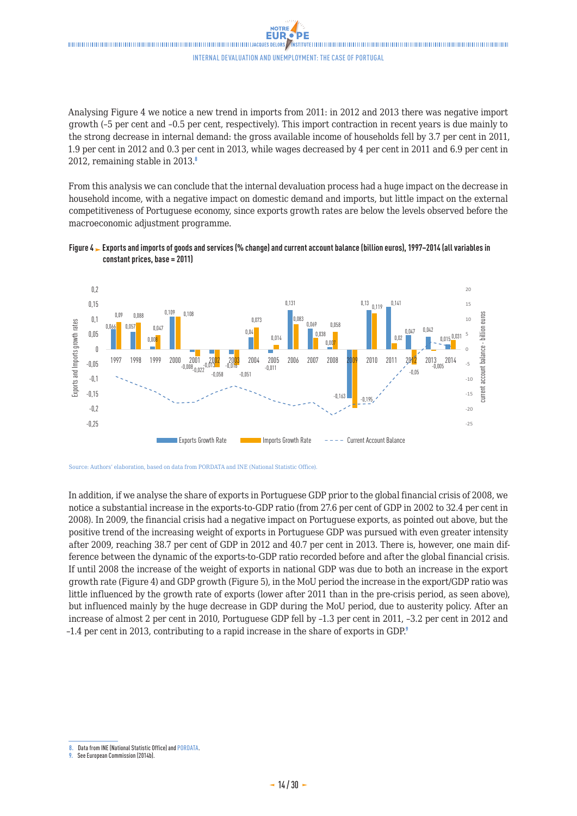Analysing Figure 4 we notice a new trend in imports from 2011: in 2012 and 2013 there was negative import growth (–5 per cent and –0.5 per cent, respectively). This import contraction in recent years is due mainly to the strong decrease in internal demand: the gross available income of households fell by 3.7 per cent in 2011, 1.9 per cent in 2012 and 0.3 per cent in 2013, while wages decreased by 4 per cent in 2011 and 6.9 per cent in 2012, remaining stable in  $2013$ .

From this analysis we can conclude that the internal devaluation process had a huge impact on the decrease in household income, with a negative impact on domestic demand and imports, but little impact on the external competitiveness of Portuguese economy, since exports growth rates are below the levels observed before the macroeconomic adjustment programme.





Source: Authors' elaboration, based on data from PORDATA and INE (National Statistic Office).

In addition, if we analyse the share of exports in Portuguese GDP prior to the global financial crisis of 2008, we notice a substantial increase in the exports-to-GDP ratio (from 27.6 per cent of GDP in 2002 to 32.4 per cent in 2008). In 2009, the financial crisis had a negative impact on Portuguese exports, as pointed out above, but the positive trend of the increasing weight of exports in Portuguese GDP was pursued with even greater intensity after 2009, reaching 38.7 per cent of GDP in 2012 and 40.7 per cent in 2013. There is, however, one main difference between the dynamic of the exports-to-GDP ratio recorded before and after the global financial crisis. If until 2008 the increase of the weight of exports in national GDP was due to both an increase in the export growth rate (Figure 4) and GDP growth (Figure 5), in the MoU period the increase in the export/GDP ratio was little influenced by the growth rate of exports (lower after 2011 than in the pre-crisis period, as seen above), but influenced mainly by the huge decrease in GDP during the MoU period, due to austerity policy. After an increase of almost 2 per cent in 2010, Portuguese GDP fell by –1.3 per cent in 2011, –3.2 per cent in 2012 and –1.4 per cent in 2013, contributing to a rapid increase in the share of exports in GDP.<sup>9</sup>

**<sup>8.</sup>** Data from INE (National Statistic Office) and [PORDATA.](www.pordata.pt)

**<sup>9.</sup>** See European Commission (2014b).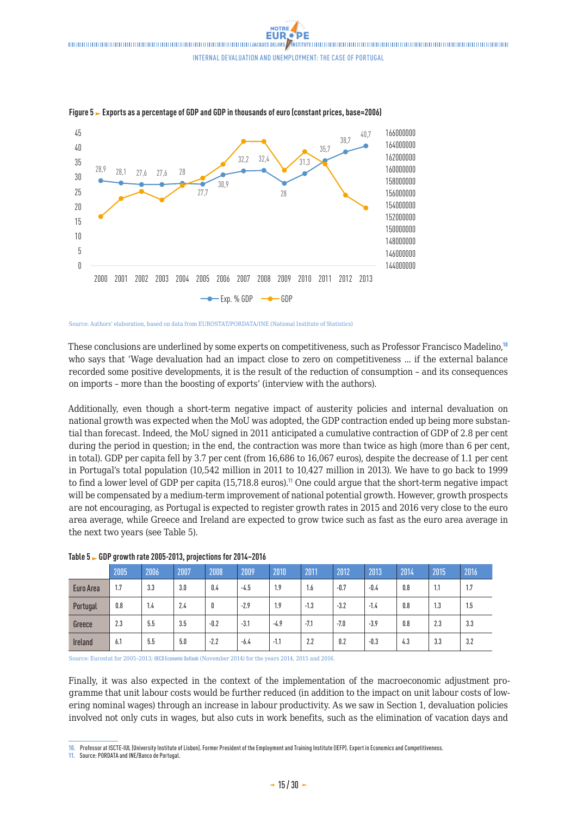

**Figure 5 Exports as a percentage of GDP and GDP in thousands of euro (constant prices, base=2006)**

Source: Authors' elaboration, based on data from EUROSTAT/PORDATA/INE (National Institute of Statistics)

These conclusions are underlined by some experts on competitiveness, such as Professor Francisco Madelino,<sup>10</sup> who says that 'Wage devaluation had an impact close to zero on competitiveness ... if the external balance recorded some positive developments, it is the result of the reduction of consumption – and its consequences on imports – more than the boosting of exports' (interview with the authors).

Additionally, even though a short-term negative impact of austerity policies and internal devaluation on national growth was expected when the MoU was adopted, the GDP contraction ended up being more substantial than forecast. Indeed, the MoU signed in 2011 anticipated a cumulative contraction of GDP of 2.8 per cent during the period in question; in the end, the contraction was more than twice as high (more than 6 per cent, in total). GDP per capita fell by 3.7 per cent (from 16,686 to 16,067 euros), despite the decrease of 1.1 per cent in Portugal's total population (10,542 million in 2011 to 10,427 million in 2013). We have to go back to 1999 to find a lower level of GDP per capita (15,718.8 euros).<sup>11</sup> One could argue that the short-term negative impact will be compensated by a medium-term improvement of national potential growth. However, growth prospects are not encouraging, as Portugal is expected to register growth rates in 2015 and 2016 very close to the euro area average, while Greece and Ireland are expected to grow twice such as fast as the euro area average in the next two years (see Table 5).

|                | 2005 | 2006 | 2007 | 2008   | 2009   | 2010   | 2011   | 2012   | 2013   | 2014 | 2015 | 2016 |
|----------------|------|------|------|--------|--------|--------|--------|--------|--------|------|------|------|
| Euro Area      | 1.7  | 3.3  | 3.0  | 0.4    | $-4.5$ | 1.9    | 1.6    | $-0.7$ | $-0.4$ | 0.8  | 1.1  | 1.7  |
| Portugal       | 0.8  | 1.4  | 2.4  | 0      | $-2.9$ | 1.9    | $-1.3$ | $-3.2$ | $-1.4$ | 0.8  | 1.3  | 1.5  |
| Greece         | 2.3  | 5.5  | 3.5  | $-0.2$ | $-3.1$ | $-4.9$ | $-7.1$ | $-7.0$ | $-3.9$ | 0.8  | 2.3  | 3.3  |
| <b>Ireland</b> | 6.1  | 5.5  | 5.0  | $-2.2$ | $-6.4$ | $-1.1$ | 2.2    | 0.2    | $-0.3$ | 4.3  | 3.3  | 3.2  |

#### **Table 5 GDP growth rate 2005-2013, projections for 2014–2016**

Source: Eurostat for 2005–2013; [OECD Economic Outlook](http://www.oecd.org/fr/eco/perspectives/perspectives-economiques.htm) (November 2014) for the years 2014, 2015 and 2016.

Finally, it was also expected in the context of the implementation of the macroeconomic adjustment programme that unit labour costs would be further reduced (in addition to the impact on unit labour costs of lowering nominal wages) through an increase in labour productivity. As we saw in Section 1, devaluation policies involved not only cuts in wages, but also cuts in work benefits, such as the elimination of vacation days and

**<sup>10.</sup>** Professor at ISCTE-IUL (University Institute of Lisbon). Former President of the Employment and Training Institute (IEFP). Expert in Economics and Competitiveness.

**<sup>11.</sup>** Source: PORDATA and INE/Banco de Portugal.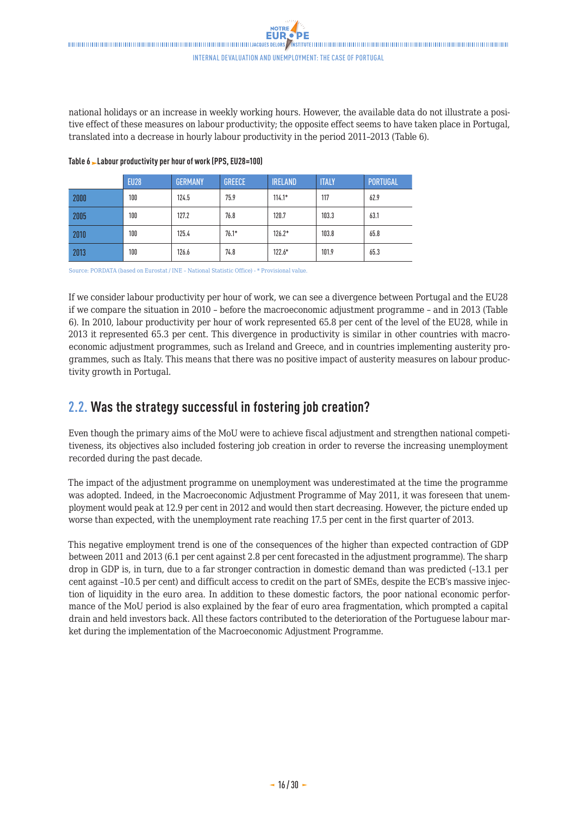<span id="page-15-0"></span>national holidays or an increase in weekly working hours. However, the available data do not illustrate a positive effect of these measures on labour productivity; the opposite effect seems to have taken place in Portugal, translated into a decrease in hourly labour productivity in the period 2011–2013 (Table 6).

|      | <b>EU28</b> | <b>GERMANY</b> | <b>GREECE</b> | <b>IRELAND</b> | <b>ITALY</b> | <b>PORTUGAL</b> |
|------|-------------|----------------|---------------|----------------|--------------|-----------------|
| 2000 | 100         | 124.5          | 75.9          | $114.1*$       | 117          | 62.9            |
| 2005 | 100         | 127.2          | 76.8          | 120.7          | 103.3        | 63.1            |
| 2010 | 100         | 125.4          | $76.1*$       | $126.2*$       | 103.8        | 65.8            |
| 2013 | 100         | 126.6          | 74.8          | $122.6*$       | 101.9        | 65.3            |

**Table 6 Labour productivity per hour of work (PPS, EU28=100)**

Source: PORDATA (based on Eurostat / INE – National Statistic Office) - \* Provisional value.

If we consider labour productivity per hour of work, we can see a divergence between Portugal and the EU28 if we compare the situation in 2010 – before the macroeconomic adjustment programme – and in 2013 (Table 6). In 2010, labour productivity per hour of work represented 65.8 per cent of the level of the EU28, while in 2013 it represented 65.3 per cent. This divergence in productivity is similar in other countries with macroeconomic adjustment programmes, such as Ireland and Greece, and in countries implementing austerity programmes, such as Italy. This means that there was no positive impact of austerity measures on labour productivity growth in Portugal.

## **2.2. Was the strategy successful in fostering job creation?**

Even though the primary aims of the MoU were to achieve fiscal adjustment and strengthen national competitiveness, its objectives also included fostering job creation in order to reverse the increasing unemployment recorded during the past decade.

The impact of the adjustment programme on unemployment was underestimated at the time the programme was adopted. Indeed, in the Macroeconomic Adjustment Programme of May 2011, it was foreseen that unemployment would peak at 12.9 per cent in 2012 and would then start decreasing. However, the picture ended up worse than expected, with the unemployment rate reaching 17.5 per cent in the first quarter of 2013.

This negative employment trend is one of the consequences of the higher than expected contraction of GDP between 2011 and 2013 (6.1 per cent against 2.8 per cent forecasted in the adjustment programme). The sharp drop in GDP is, in turn, due to a far stronger contraction in domestic demand than was predicted (–13.1 per cent against –10.5 per cent) and difficult access to credit on the part of SMEs, despite the ECB's massive injection of liquidity in the euro area. In addition to these domestic factors, the poor national economic performance of the MoU period is also explained by the fear of euro area fragmentation, which prompted a capital drain and held investors back. All these factors contributed to the deterioration of the Portuguese labour market during the implementation of the Macroeconomic Adjustment Programme.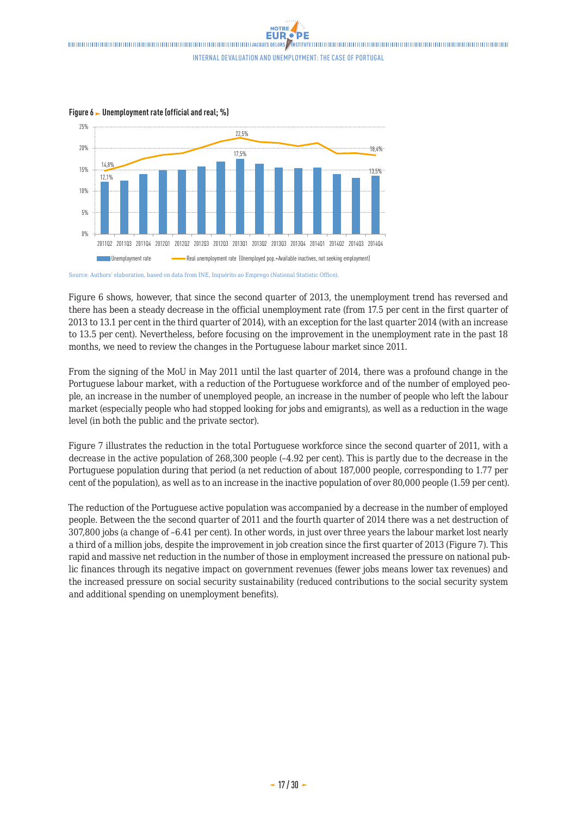Internal devaluation and unemployment: the case of Portugal



**Figure 6 Unemployment rate (official and real; %) Figure 6. Unemployment rate (official and real - %)**

Source: Authors' elaboration, based on data from INE, Inquérito ao Emprego (National Statistic Office).<br>.

Figure 6 shows, however, that since the second quarter of 2013, the unemployment trend has reversed and  $t$  since the steady decrease in the official unchered rate (from 17.5 percent in 2013 $\sigma$ there has been a steady decrease in the official unemployment rate (from 17.5 per cent in the first quarter of 2013 to 13.1 per cent in the third quarter of 2014), with an exception for the last quarter 2014 (with an increase to 13.5 per cent). Nevertheless, before focusing on the improvement in the unemployment rate in the past 18 months, we need to review the changes in the Portuguese labour market since 2011.

people, an increase in the number of unemployed people, an increase in the number of people that left the From the signing of the MoU in May 2011 until the last quarter of 2014, there was a profound change in the Portuguese labour market, with a reduction of the Portuguese workforce and of the number of employed people, an increase in the number of unemployed people, an increase in the number of people who left the labour market (especially people who had stopped looking for jobs and emigrants), as well as a reduction in the wage level (in both the public and the private sector). 1.77 percent of the population) as well as to an increase of the inactive population, which increased by over

Figure 7 illustrates the reduction in the total Portuguese workforce since the second quarter of 2011, with a  $\frac{1}{2}$   $\frac{1}{2}$  active population of 200,200 popula (4.02 por sept). This is no decrease in the active population of 268,300 people (–4.92 per cent). This is partly due to the decrease in the Portuguese population during that period (a net reduction of about 187,000 people, corresponding to 1.77 per cent of the population), as well as to an increase in the inactive population of over 80,000 people (1.59 per cent). number of workers increased the pressure on national public finances through its negative impact on the level on the level on the level of  $\mathbb{R}^n$  in the level of the level of the level of the level of the level of the

The reduction of the Portuguese active population was accompanied by a decrease in the number of employed people. Between the the second quarter of 2011 and the fourth quarter of 2014 there was a net destruction of 307,800 jobs (a change of –6.41 per cent). In other words, in just over three years the labour market lost nearly a third of a million jobs, despite the improvement in job creation since the first quarter of 2013 (Figure 7). This rapid and massive net reduction in the number of those in employment increased the pressure on national public finances through its negative impact on government revenues (fewer jobs means lower tax revenues) and the increased pressure on social security sustainability (reduced contributions to the social security system and additional spending on unemployment benefits).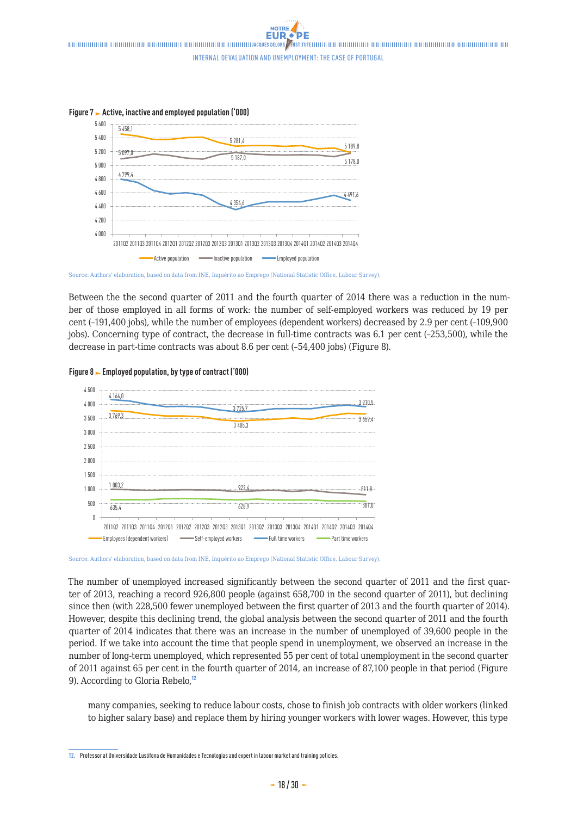NOTRE Internal devaluation and unemployment: the case of Portugal



**Figure 7 Active, inactive and employed population ('000) Figure 7 – Active, inactive and employed population (thousands)**

Source: Authors' elaboration, based on data from INE, Inquérito ao Emprego (National Statistic Office, Labour Survey).

 $\frac{1}{2}$  at reduce the second guarantee of  $2011$  and the fourth guarantee of  $2014$  the Between the the second quarter of 2011 and the fourth quarter of 2014 there was a reduction in the number of those employed in all forms of work: the number of self-employed workers was reduced by 19 per cent (-191,400 jobs), while the number of employees (dependent workers) decreased by 2.9 per cent (-109,900 jobs). Concerning type of contract, the decrease in full-time contracts was 6.1 per cent (-253,500), while the decrease in part-time contracts was about 8.6 per cent (-54,400 jobs) (Figure 8). employees (dependent workers) decreased by 2.9 percent (-109,900 jobs). Concerning the type of contracts,



### 4 500 **Figure 8 Employed population, by type of contract ('000) Figure 8 – Employed Population, by type of contract (thousands)**

Source: Authors' elaboration, based on data from INE, Inquérito ao Emprego (National Statistic Office, Labour Survey).

since then (with 228,500 fewer unemployed between the first quarter of 2013 and the fourth quarter of 2014). However, despite this declining trend, the global analysis between the second quarter of 2011 and the fourth The number of unemployed increased significantly between the second quarter of 2011 and the first quarter of 2013, reaching a record 926,800 people (against 658,700 in the second quarter of 2011), but declining quarter of 2014 indicates that there was an increase in the number of unemployed of 39,600 people in the period. If we take into account the time that people spend in unemployment, we observed an increase in the number of long-term unemployed, which represented 55 per cent of total unemployment in the second quarter of 2011 against 65 per cent in the fourth quarter of 2014, an increase of 87,100 people in that period (Figure 9). According to Gloria Rebelo,<sup>12</sup>

many companies, seeking to reduce labour costs, chose to finish job contracts with older workers (linked to higher salary base) and replace them by hiring younger workers with lower wages. However, this type

**<sup>12.</sup>** Professor at Universidade Lusófona de Humanidades e Tecnologias and expert in labour market and training policies.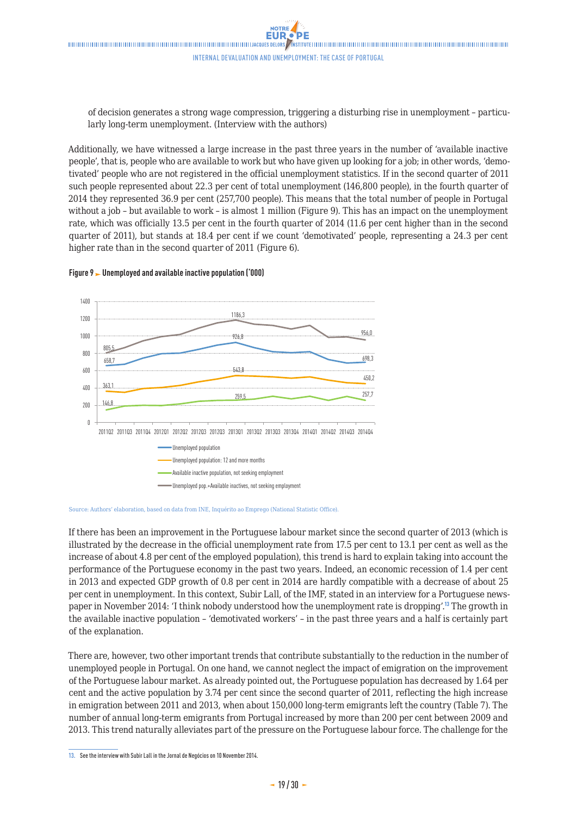of decision generates a strong wage compression, triggering a disturbing rise in unemployment - particularly long-term unemployment. (Interview with the authors) of decision generates a strong wage compression, triggering a disturbing  $p_{\text{max}}$  is 2014 $p_{\text{max}}$  increase of 87,100 period (Figure 9). According to Gloria Rebelon2,

Additionally, we have witnessed a large increase in the past three years in the number of 'available inactive people', that is, people who are available to work but who have given up looking for a job; in other words, 'demotivated' people who are not registered in the official unemployment statistics. If in the second quarter of 2011 such people represented about 22.3 per cent of total unemployment (146,800 people), in the fourth quarter of 2014 they represented 36.9 per cent (257,700 people). This means that the total number of people in Portugal without a job – but available to work – is almost 1 million (Figure 9). This has an impact on the unemployment  $\frac{1}{2}$ rate, which was officially 13.5 per cent in the fourth quarter of 2014 (11.6 per cent higher than in the second quarter of 2011), but stands at 18.4 per cent if we count 'demotivated' people, representing a 24.3 per cent higher rate than in the second quarter of 2011 (Figure 6). dditionally, we have witnessed a large increase in the past three years in th total unique  $\frac{1}{2}$  becomes the work  $\frac{1}{2}$  in  $\frac{1}{2}$  and  $\frac{1}{2}$  in  $\frac{1}{2}$  and  $\frac{1}{2}$  and  $\frac{1}{2}$  and  $\frac{1}{2}$  and  $\frac{1}{2}$  and  $\frac{1}{2}$  and  $\frac{1}{2}$  and  $\frac{1}{2}$  and  $\frac{1}{2}$  and  $\frac{1}{2}$  and percent rate than in the second  $qu$ 



## **Figure 9 Unemployed and available inactive population ('000) Figure 9 – Unemployed and available inactive population (thousands)**

per cent in unemployment. In this context, Subir Lall, of the IMF, stated in an interview for a Portuguese news-If there has been an improvement in the Portuguese labour market since the second quarter of 2013 (which is illustrated by the decrease in the official unemployment rate from 17.5 per cent to 13.1 per cent as well as the increase of about 4.8 per cent of the employed population), this trend is hard to explain taking into account the performance of the Portuguese economy in the past two years. Indeed, an economic recession of 1.4 per cent in 2013 and expected GDP growth of 0.8 per cent in 2014 are hardly compatible with a decrease of about 25 paper in November 2014: 'I think nobody understood how the unemployment rate is dropping'.<sup>13</sup> The growth in the available inactive population – 'demotivated workers' – in the past three years and a half is certainly part of the explanation.

There are, however, two other important trends that contribute substantially to the reduction in the number of unemployed people in Portugal. On one hand, we cannot neglect the impact of emigration on the improvement of the Portuguese labour market. As already pointed out, the Portuguese population has decreased by 1.64 per cent and the active population by 3.74 per cent since the second quarter of 2011, reflecting the high increase in emigration between 2011 and 2013, when about 150,000 long-term emigrants left the country (Table 7). The number of annual long-term emigrants from Portugal increased by more than 200 per cent between 2009 and 2013. This trend naturally alleviates part of the pressure on the Portuguese labour force. The challenge for the

Source: Authors' elaboration, based on data from INE, Inquérito ao Emprego (National Statistic Office).

**<sup>13.</sup>** See the interview with Subir Lall in the Jornal de Negócios on 10 November 2014.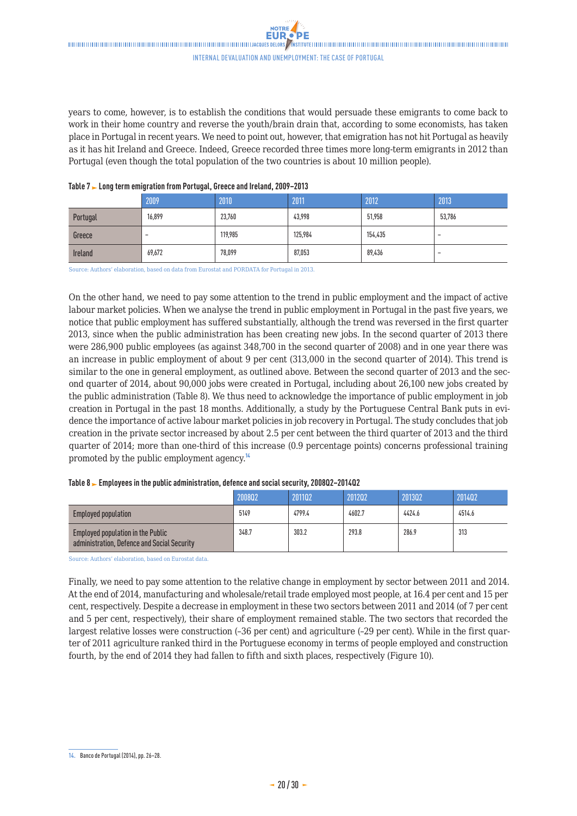years to come, however, is to establish the conditions that would persuade these emigrants to come back to work in their home country and reverse the youth/brain drain that, according to some economists, has taken place in Portugal in recent years. We need to point out, however, that emigration has not hit Portugal as heavily as it has hit Ireland and Greece. Indeed, Greece recorded three times more long-term emigrants in 2012 than Portugal (even though the total population of the two countries is about 10 million people).

|                | 2009                     | 2010    | 2011    | 2012    | 2013                     |
|----------------|--------------------------|---------|---------|---------|--------------------------|
| Portugal       | 16,899                   | 23,760  | 43,998  | 51,958  | 53,786                   |
| Greece         | $\overline{\phantom{a}}$ | 119,985 | 125,984 | 154,435 | $\overline{\phantom{0}}$ |
| <b>Ireland</b> | 69,672                   | 78,099  | 87,053  | 89,436  | $\overline{\phantom{0}}$ |

#### **Table 7 Long term emigration from Portugal, Greece and Ireland, 2009–2013**

Source: Authors' elaboration, based on data from Eurostat and PORDATA for Portugal in 2013.

On the other hand, we need to pay some attention to the trend in public employment and the impact of active labour market policies. When we analyse the trend in public employment in Portugal in the past five years, we notice that public employment has suffered substantially, although the trend was reversed in the first quarter 2013, since when the public administration has been creating new jobs. In the second quarter of 2013 there were 286,900 public employees (as against 348,700 in the second quarter of 2008) and in one year there was an increase in public employment of about 9 per cent (313,000 in the second quarter of 2014). This trend is similar to the one in general employment, as outlined above. Between the second quarter of 2013 and the second quarter of 2014, about 90,000 jobs were created in Portugal, including about 26,100 new jobs created by the public administration (Table 8). We thus need to acknowledge the importance of public employment in job creation in Portugal in the past 18 months. Additionally, a study by the Portuguese Central Bank puts in evidence the importance of active labour market policies in job recovery in Portugal. The study concludes that job creation in the private sector increased by about 2.5 per cent between the third quarter of 2013 and the third quarter of 2014; more than one-third of this increase (0.9 percentage points) concerns professional training promoted by the public employment agency.<sup>14</sup>

| $1.9.919$ and $2.91$ and $3.91$ and $3.91$ and $3.91$ and $3.91$ and $3.91$ and $3.91$ and $3.91$ and $3.91$ and $3.91$ and $3.91$ and $3.91$ and $3.91$ and $3.91$ and $3.91$ and $3.91$ and $3.91$ and $3.91$ and $3.91$ an |        |        |        |        |        |  |  |  |
|-------------------------------------------------------------------------------------------------------------------------------------------------------------------------------------------------------------------------------|--------|--------|--------|--------|--------|--|--|--|
|                                                                                                                                                                                                                               | 200802 | 201102 | 201202 | 201302 | 201402 |  |  |  |
| <b>Employed population</b>                                                                                                                                                                                                    | 5149   | 4799.4 | 4602.7 | 4424.6 | 4514.6 |  |  |  |
| Employed population in the Public<br>administration, Defence and Social Security                                                                                                                                              | 348.7  | 303.2  | 293.8  | 286.9  | 313    |  |  |  |

#### **Table 8 Employees in the public administration, defence and social security, 2008Q2–2014Q2**

Source: Authors' elaboration, based on Eurostat data.

Finally, we need to pay some attention to the relative change in employment by sector between 2011 and 2014. At the end of 2014, manufacturing and wholesale/retail trade employed most people, at 16.4 per cent and 15 per cent, respectively. Despite a decrease in employment in these two sectors between 2011 and 2014 (of 7 per cent and 5 per cent, respectively), their share of employment remained stable. The two sectors that recorded the largest relative losses were construction (–36 per cent) and agriculture (–29 per cent). While in the first quarter of 2011 agriculture ranked third in the Portuguese economy in terms of people employed and construction fourth, by the end of 2014 they had fallen to fifth and sixth places, respectively (Figure 10).

**<sup>14.</sup>** Banco de Portugal (2014), pp. 26–28.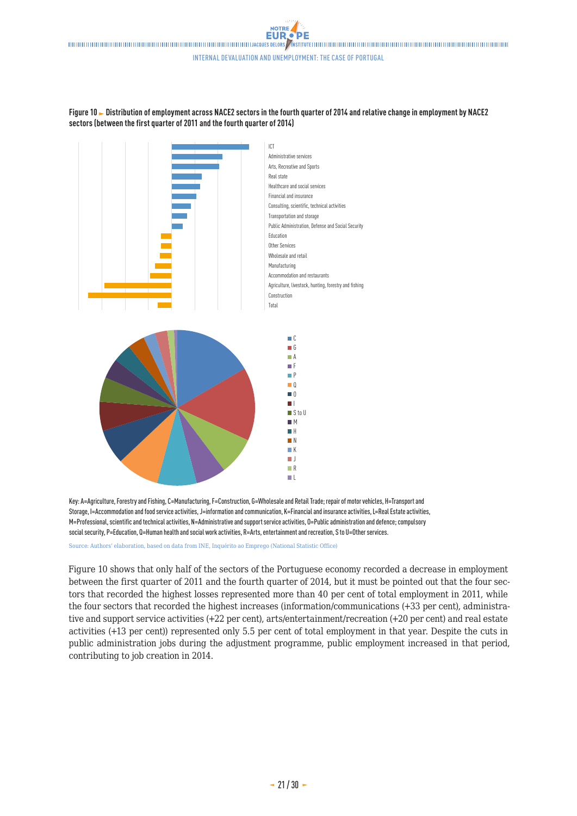**NOTRE EUR** Internal devaluation and unemployment: the case of Portugal





Key: A=Agriculture, Forestry and Fishing, C=Manufacturing, F=Construction, G=Wholesale and Retail Trade; repair of motor vehicles, H=Transport and Storage, I=Accommodation and food service activities, J=information and communication, K=Financial and insurance activities, L=Real Estate activities, M=Professional, scientific and technical activities, N=Administrative and support service activities, O=Public administration and defence; compulsory social security, P=Education, Q=Human health and social work activities, R=Arts, entertainment and recreation, S to U=Other services.

Source: Authors' elaboration, based on data from INE, Inquérito ao Emprego (National Statistic Office)

Figure 10 shows that only half of the sectors of the Portuguese economy recorded a decrease in employment between the first quarter of 2011 and the fourth quarter of 2014, but it must be pointed out that the four sectors that recorded the highest losses represented more than 40 per cent of total employment in 2011, while the four sectors that recorded the highest increases (information/communications (+33 per cent), administrative and support service activities (+22 per cent), arts/entertainment/recreation (+20 per cent) and real estate activities (+13 per cent)) represented only 5.5 per cent of total employment in that year. Despite the cuts in public administration jobs during the adjustment programme, public employment increased in that period, contributing to job creation in 2014.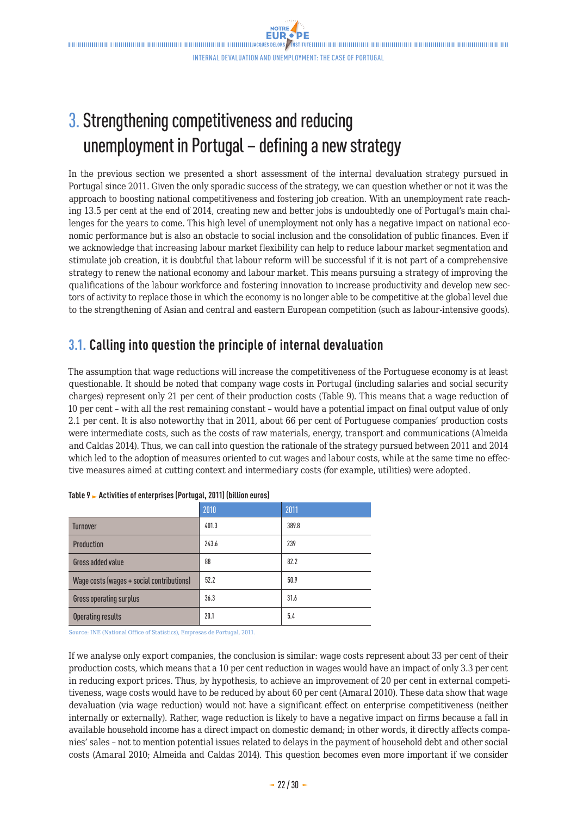# <span id="page-21-0"></span>3. Strengthening competitiveness and reducing unemployment in Portugal – defining a new strategy

In the previous section we presented a short assessment of the internal devaluation strategy pursued in Portugal since 2011. Given the only sporadic success of the strategy, we can question whether or not it was the approach to boosting national competitiveness and fostering job creation. With an unemployment rate reaching 13.5 per cent at the end of 2014, creating new and better jobs is undoubtedly one of Portugal's main challenges for the years to come. This high level of unemployment not only has a negative impact on national economic performance but is also an obstacle to social inclusion and the consolidation of public finances. Even if we acknowledge that increasing labour market flexibility can help to reduce labour market segmentation and stimulate job creation, it is doubtful that labour reform will be successful if it is not part of a comprehensive strategy to renew the national economy and labour market. This means pursuing a strategy of improving the qualifications of the labour workforce and fostering innovation to increase productivity and develop new sectors of activity to replace those in which the economy is no longer able to be competitive at the global level due to the strengthening of Asian and central and eastern European competition (such as labour-intensive goods).

# **3.1. Calling into question the principle of internal devaluation**

The assumption that wage reductions will increase the competitiveness of the Portuguese economy is at least questionable. It should be noted that company wage costs in Portugal (including salaries and social security charges) represent only 21 per cent of their production costs (Table 9). This means that a wage reduction of 10 per cent – with all the rest remaining constant – would have a potential impact on final output value of only 2.1 per cent. It is also noteworthy that in 2011, about 66 per cent of Portuguese companies' production costs were intermediate costs, such as the costs of raw materials, energy, transport and communications (Almeida and Caldas 2014). Thus, we can call into question the rationale of the strategy pursued between 2011 and 2014 which led to the adoption of measures oriented to cut wages and labour costs, while at the same time no effective measures aimed at cutting context and intermediary costs (for example, utilities) were adopted.

|                                           | 2010  | 2011  |
|-------------------------------------------|-------|-------|
| <b>Turnover</b>                           | 401.3 | 389.8 |
| <b>Production</b>                         | 243.6 | 239   |
| Gross added value                         | 88    | 82.2  |
| Wage costs (wages + social contributions) | 52.2  | 50.9  |
| Gross operating surplus                   | 36.3  | 31.6  |
| <b>Operating results</b>                  | 20.1  | 5.4   |

|  |  | Table 9 > Activities of enterprises (Portugal, 2011) (billion euros) |  |
|--|--|----------------------------------------------------------------------|--|
|  |  |                                                                      |  |

Source: INE (National Office of Statistics), Empresas de Portugal, 2011.

If we analyse only export companies, the conclusion is similar: wage costs represent about 33 per cent of their production costs, which means that a 10 per cent reduction in wages would have an impact of only 3.3 per cent in reducing export prices. Thus, by hypothesis, to achieve an improvement of 20 per cent in external competitiveness, wage costs would have to be reduced by about 60 per cent (Amaral 2010). These data show that wage devaluation (via wage reduction) would not have a significant effect on enterprise competitiveness (neither internally or externally). Rather, wage reduction is likely to have a negative impact on firms because a fall in available household income has a direct impact on domestic demand; in other words, it directly affects companies' sales – not to mention potential issues related to delays in the payment of household debt and other social costs (Amaral 2010; Almeida and Caldas 2014). This question becomes even more important if we consider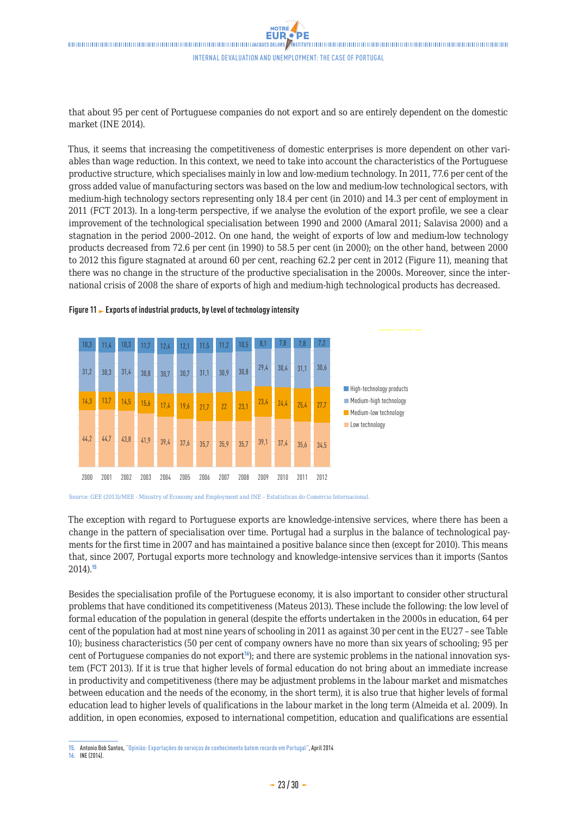that about 95 per cent of Portuguese companies do not export and so are entirely dependent on the domestic market (INE 2014).

Thus, it seems that increasing the competitiveness of domestic enterprises is more dependent on other variables than wage reduction. In this context, we need to take into account the characteristics of the Portuguese productive structure, which specialises mainly in low and low-medium technology. In 2011, 77.6 per cent of the gross added value of manufacturing sectors was based on the low and medium-low technological sectors, with medium-high technology sectors representing only 18.4 per cent (in 2010) and 14.3 per cent of employment in 2011 (FCT 2013). In a long-term perspective, if we analyse the evolution of the export profile, we see a clear improvement of the technological specialisation between 1990 and 2000 (Amaral 2011; Salavisa 2000) and a stagnation in the period 2000–2012. On one hand, the weight of exports of low and medium-low technology products decreased from 72.6 per cent (in 1990) to 58.5 per cent (in 2000); on the other hand, between 2000 to 2012 this figure stagnated at around 60 per cent, reaching 62.2 per cent in 2012 (Figure 11), meaning that there was no change in the structure of the productive specialisation in the 2000s. Moreover, since the international crisis of 2008 the share of exports of high and medium-high technological products has decreased.



### **Figure 11 Exports of industrial products, by level of technology intensity**

The exception with regard to Portuguese exports are knowledge-intensive services, where there has been a change in the pattern of specialisation over time. Portugal had a surplus in the balance of technological payments for the first time in 2007 and has maintained a positive balance since then (except for 2010). This means that, since 2007, Portugal exports more technology and knowledge-intensive services than it imports (Santos 2014).<sup>15</sup>

Besides the specialisation profile of the Portuguese economy, it is also important to consider other structural problems that have conditioned its competitiveness (Mateus 2013). These include the following: the low level of formal education of the population in general (despite the efforts undertaken in the 2000s in education, 64 per cent of the population had at most nine years of schooling in 2011 as against 30 per cent in the EU27 – see Table 10); business characteristics (50 per cent of company owners have no more than six years of schooling; 95 per cent of Portuguese companies do not  $\exp(t^{16})$ ; and there are systemic problems in the national innovation system (FCT 2013). If it is true that higher levels of formal education do not bring about an immediate increase in productivity and competitiveness (there may be adjustment problems in the labour market and mismatches between education and the needs of the economy, in the short term), it is also true that higher levels of formal education lead to higher levels of qualifications in the labour market in the long term (Almeida et al. 2009). In addition, in open economies, exposed to international competition, education and qualifications are essential

#### **16.** INE (2014).

Source: GEE (2013)/MEE - Ministry of Economy and Employment and INE – Estatísticas do Comércio Internacional.

**<sup>15.</sup>** Antonio Bob Santos, ["Opinião: Exportações de serviços de conhecimento batem recorde em Portugal",](http://tek.sapo.pt/opiniao/artigo/opiniao_exportacoes_de_servicos_de_conhecimento_batem_recorde_em_portugal-1381316tek.html) April 2014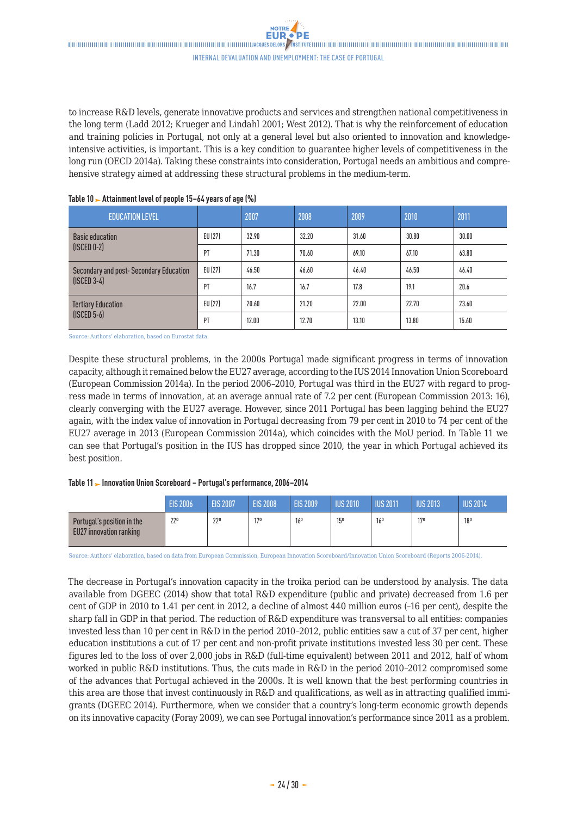to increase R&D levels, generate innovative products and services and strengthen national competitiveness in the long term (Ladd 2012; Krueger and Lindahl 2001; West 2012). That is why the reinforcement of education and training policies in Portugal, not only at a general level but also oriented to innovation and knowledgeintensive activities, is important. This is a key condition to guarantee higher levels of competitiveness in the long run (OECD 2014a). Taking these constraints into consideration, Portugal needs an ambitious and comprehensive strategy aimed at addressing these structural problems in the medium-term.

| <b>EDUCATION LEVEL</b>                 |         | 2007  | 2008  | 2009  | 2010  | 2011  |
|----------------------------------------|---------|-------|-------|-------|-------|-------|
| <b>Basic education</b>                 | EU (27) | 32.90 | 32.20 | 31.60 | 30.80 | 30.00 |
| $($ ISCED $0-2)$                       | PT      | 71.30 | 70.60 | 69.10 | 67.10 | 63.80 |
| Secondary and post-Secondary Education | EU (27) | 46.50 | 46.60 | 46.40 | 46.50 | 46.40 |
| $(ISCED 3-4)$                          | PT      | 16.7  | 16.7  | 17.8  | 19.1  | 20.6  |
| <b>Tertiary Education</b>              | EU (27) | 20.60 | 21.20 | 22.00 | 22.70 | 23.60 |
| $($ ISCED 5-6 $)$                      | PT      | 12.00 | 12.70 | 13.10 | 13.80 | 15.60 |

#### **Table 10 Attainment level of people 15–64 years of age (%)**

Source: Authors' elaboration, based on Eurostat data.

Despite these structural problems, in the 2000s Portugal made significant progress in terms of innovation capacity, although it remained below the EU27 average, according to the IUS 2014 Innovation Union Scoreboard (European Commission 2014a). In the period 2006–2010, Portugal was third in the EU27 with regard to progress made in terms of innovation, at an average annual rate of 7.2 per cent (European Commission 2013: 16), clearly converging with the EU27 average. However, since 2011 Portugal has been lagging behind the EU27 again, with the index value of innovation in Portugal decreasing from 79 per cent in 2010 to 74 per cent of the EU27 average in 2013 (European Commission 2014a), which coincides with the MoU period. In Table 11 we can see that Portugal's position in the IUS has dropped since 2010, the year in which Portugal achieved its best position.

#### **Table 11 Innovation Union Scoreboard – Portugal's performance, 2006–2014**

|                                                       | <b>EIS 2006</b> | <b>EIS 2007</b> | <b>EIS 2008</b> | <b>EIS 2009</b> | <b>IUS 2010</b> | <b>IUS 2011</b> | <b>IUS 2013</b> | <b>NUS 2014</b> |
|-------------------------------------------------------|-----------------|-----------------|-----------------|-----------------|-----------------|-----------------|-----------------|-----------------|
| Portugal's position in the<br>EU27 innovation ranking | 22 <sup>0</sup> | 22 <sup>0</sup> | 170             | 16 <sup>0</sup> | 15 <sup>0</sup> | 16 <sup>0</sup> | 17 <sup>0</sup> | 18 <sup>0</sup> |

Source: Authors' elaboration, based on data from European Commission, European Innovation Scoreboard/Innovation Union Scoreboard (Reports 2006-2014).

The decrease in Portugal's innovation capacity in the troika period can be understood by analysis. The data available from DGEEC (2014) show that total R&D expenditure (public and private) decreased from 1.6 per cent of GDP in 2010 to 1.41 per cent in 2012, a decline of almost 440 million euros (–16 per cent), despite the sharp fall in GDP in that period. The reduction of R&D expenditure was transversal to all entities: companies invested less than 10 per cent in R&D in the period 2010–2012, public entities saw a cut of 37 per cent, higher education institutions a cut of 17 per cent and non-profit private institutions invested less 30 per cent. These figures led to the loss of over 2,000 jobs in R&D (full-time equivalent) between 2011 and 2012, half of whom worked in public R&D institutions. Thus, the cuts made in R&D in the period 2010–2012 compromised some of the advances that Portugal achieved in the 2000s. It is well known that the best performing countries in this area are those that invest continuously in R&D and qualifications, as well as in attracting qualified immigrants (DGEEC 2014). Furthermore, when we consider that a country's long-term economic growth depends on its innovative capacity (Foray 2009), we can see Portugal innovation's performance since 2011 as a problem.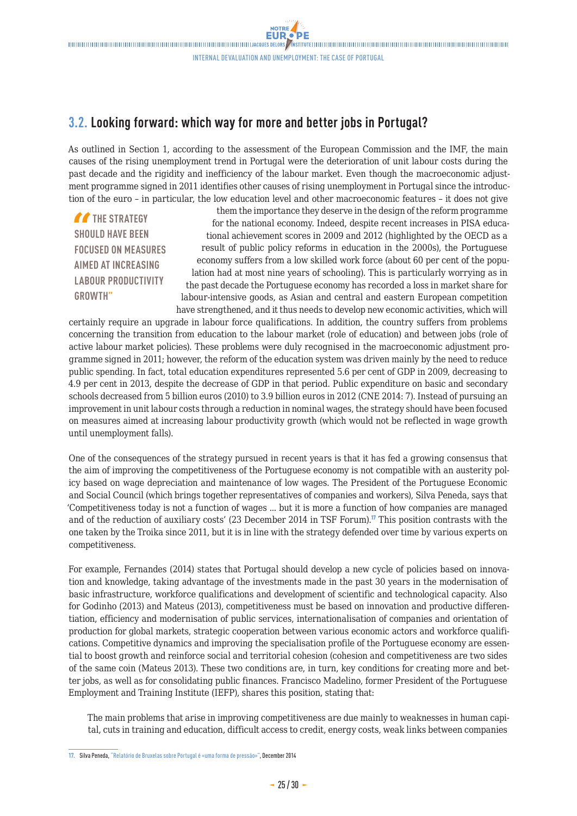# <span id="page-24-0"></span>**3.2. Looking forward: which way for more and better jobs in Portugal?**

As outlined in Section 1, according to the assessment of the European Commission and the IMF, the main causes of the rising unemployment trend in Portugal were the deterioration of unit labour costs during the past decade and the rigidity and inefficiency of the labour market. Even though the macroeconomic adjustment programme signed in 2011 identifies other causes of rising unemployment in Portugal since the introduction of the euro – in particular, the low education level and other macroeconomic features – it does not give

**THE STRATEGY SHOULD HAVE BEEN FOCUSED ON MEASURES AIMED AT INCREASING LABOUR PRODUCTIVITY GROWTH"**

them the importance they deserve in the design of the reform programme for the national economy. Indeed, despite recent increases in PISA educational achievement scores in 2009 and 2012 (highlighted by the OECD as a result of public policy reforms in education in the 2000s), the Portuguese economy suffers from a low skilled work force (about 60 per cent of the population had at most nine years of schooling). This is particularly worrying as in the past decade the Portuguese economy has recorded a loss in market share for labour-intensive goods, as Asian and central and eastern European competition have strengthened, and it thus needs to develop new economic activities, which will

certainly require an upgrade in labour force qualifications. In addition, the country suffers from problems concerning the transition from education to the labour market (role of education) and between jobs (role of active labour market policies). These problems were duly recognised in the macroeconomic adjustment programme signed in 2011; however, the reform of the education system was driven mainly by the need to reduce public spending. In fact, total education expenditures represented 5.6 per cent of GDP in 2009, decreasing to 4.9 per cent in 2013, despite the decrease of GDP in that period. Public expenditure on basic and secondary schools decreased from 5 billion euros (2010) to 3.9 billion euros in 2012 (CNE 2014: 7). Instead of pursuing an improvement in unit labour costs through a reduction in nominal wages, the strategy should have been focused on measures aimed at increasing labour productivity growth (which would not be reflected in wage growth until unemployment falls).

One of the consequences of the strategy pursued in recent years is that it has fed a growing consensus that the aim of improving the competitiveness of the Portuguese economy is not compatible with an austerity policy based on wage depreciation and maintenance of low wages. The President of the Portuguese Economic and Social Council (which brings together representatives of companies and workers), Silva Peneda, says that 'Competitiveness today is not a function of wages ... but it is more a function of how companies are managed and of the reduction of auxiliary costs' (23 December 2014 in TSF Forum).<sup>17</sup> This position contrasts with the one taken by the Troika since 2011, but it is in line with the strategy defended over time by various experts on competitiveness.

For example, Fernandes (2014) states that Portugal should develop a new cycle of policies based on innovation and knowledge, taking advantage of the investments made in the past 30 years in the modernisation of basic infrastructure, workforce qualifications and development of scientific and technological capacity. Also for Godinho (2013) and Mateus (2013), competitiveness must be based on innovation and productive differentiation, efficiency and modernisation of public services, internationalisation of companies and orientation of production for global markets, strategic cooperation between various economic actors and workforce qualifications. Competitive dynamics and improving the specialisation profile of the Portuguese economy are essential to boost growth and reinforce social and territorial cohesion (cohesion and competitiveness are two sides of the same coin (Mateus 2013). These two conditions are, in turn, key conditions for creating more and better jobs, as well as for consolidating public finances. Francisco Madelino, former President of the Portuguese Employment and Training Institute (IEFP), shares this position, stating that:

The main problems that arise in improving competitiveness are due mainly to weaknesses in human capital, cuts in training and education, difficult access to credit, energy costs, weak links between companies

**<sup>17.</sup>** Silva Peneda, ["Relatório de Bruxelas sobre Portugal é «uma forma de pressão»"](http://www.tsf.pt/economia/interior/silva-peneda-relatorio-de-bruxelas-sobre-portugal-e-uma-forma-de-pressao-4311003.html), December 2014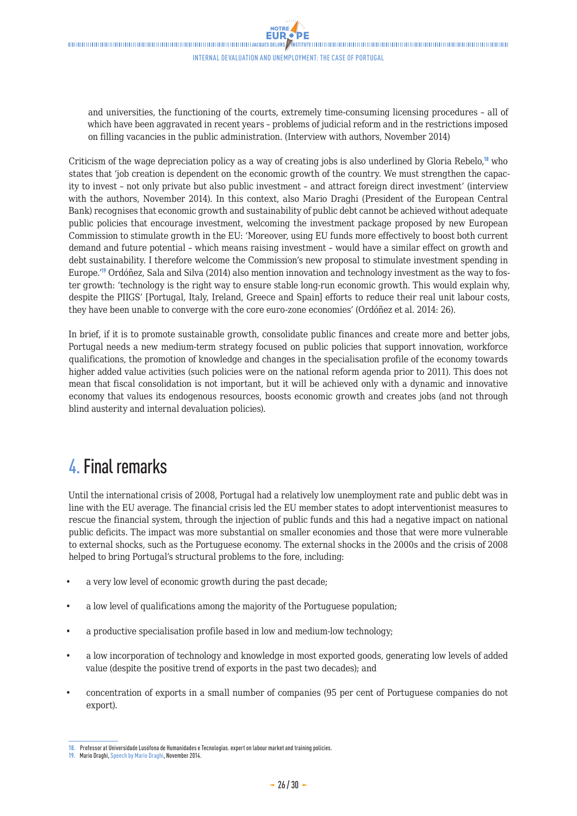<span id="page-25-0"></span>and universities, the functioning of the courts, extremely time-consuming licensing procedures – all of which have been aggravated in recent years – problems of judicial reform and in the restrictions imposed on filling vacancies in the public administration. (Interview with authors, November 2014)

Criticism of the wage depreciation policy as a way of creating jobs is also underlined by Gloria Rebelo,<sup>18</sup> who states that 'job creation is dependent on the economic growth of the country. We must strengthen the capacity to invest – not only private but also public investment – and attract foreign direct investment' (interview with the authors, November 2014). In this context, also Mario Draghi (President of the European Central Bank) recognises that economic growth and sustainability of public debt cannot be achieved without adequate public policies that encourage investment, welcoming the investment package proposed by new European Commission to stimulate growth in the EU: 'Moreover, using EU funds more effectively to boost both current demand and future potential – which means raising investment – would have a similar effect on growth and debt sustainability. I therefore welcome the Commission's new proposal to stimulate investment spending in Europe.'<sup>19</sup> Ordóñez, Sala and Silva (2014) also mention innovation and technology investment as the way to foster growth: 'technology is the right way to ensure stable long-run economic growth. This would explain why, despite the PIIGS' [Portugal, Italy, Ireland, Greece and Spain] efforts to reduce their real unit labour costs, they have been unable to converge with the core euro-zone economies' (Ordóñez et al. 2014: 26).

In brief, if it is to promote sustainable growth, consolidate public finances and create more and better jobs, Portugal needs a new medium-term strategy focused on public policies that support innovation, workforce qualifications, the promotion of knowledge and changes in the specialisation profile of the economy towards higher added value activities (such policies were on the national reform agenda prior to 2011). This does not mean that fiscal consolidation is not important, but it will be achieved only with a dynamic and innovative economy that values its endogenous resources, boosts economic growth and creates jobs (and not through blind austerity and internal devaluation policies).

# 4. Final remarks

Until the international crisis of 2008, Portugal had a relatively low unemployment rate and public debt was in line with the EU average. The financial crisis led the EU member states to adopt interventionist measures to rescue the financial system, through the injection of public funds and this had a negative impact on national public deficits. The impact was more substantial on smaller economies and those that were more vulnerable to external shocks, such as the Portuguese economy. The external shocks in the 2000s and the crisis of 2008 helped to bring Portugal's structural problems to the fore, including:

- a very low level of economic growth during the past decade;
- a low level of qualifications among the majority of the Portuguese population;
- a productive specialisation profile based in low and medium-low technology;
- a low incorporation of technology and knowledge in most exported goods, generating low levels of added value (despite the positive trend of exports in the past two decades); and
- concentration of exports in a small number of companies (95 per cent of Portuguese companies do not export).

**<sup>18.</sup>** Professor at Universidade Lusófona de Humanidades e Tecnologias. expert on labour market and training policies.

**<sup>19.</sup>** Mario Draghi, [Speech by Mario Draghi,](http://www.ecb.europa.eu/press/key/date/2014/html/sp141127_1.en.html) November 2014.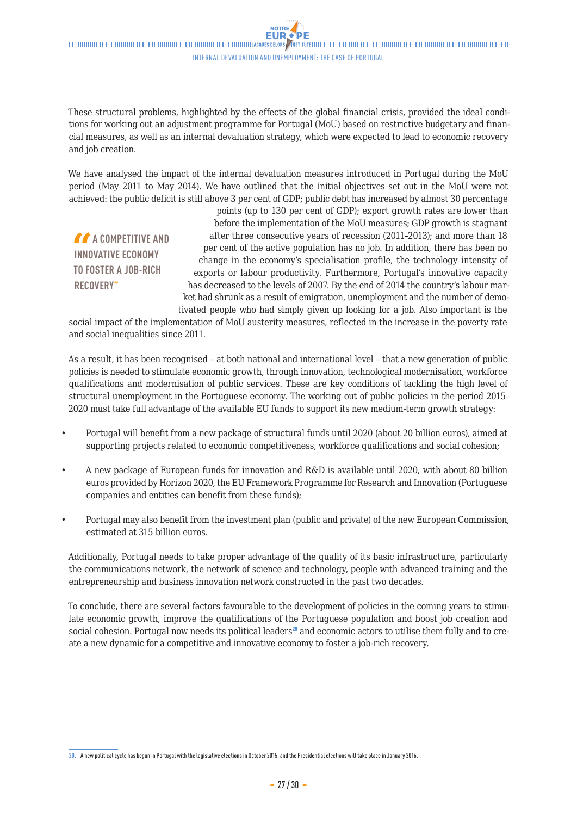These structural problems, highlighted by the effects of the global financial crisis, provided the ideal conditions for working out an adjustment programme for Portugal (MoU) based on restrictive budgetary and financial measures, as well as an internal devaluation strategy, which were expected to lead to economic recovery and job creation.

We have analysed the impact of the internal devaluation measures introduced in Portugal during the MoU period (May 2011 to May 2014). We have outlined that the initial objectives set out in the MoU were not achieved: the public deficit is still above 3 per cent of GDP; public debt has increased by almost 30 percentage

**A** A COMPETITIVE AND **INNOVATIVE ECONOMY TO FOSTER A JOB-RICH RECOVERY"**

points (up to 130 per cent of GDP); export growth rates are lower than before the implementation of the MoU measures; GDP growth is stagnant after three consecutive years of recession (2011–2013); and more than 18 per cent of the active population has no job. In addition, there has been no change in the economy's specialisation profile, the technology intensity of exports or labour productivity. Furthermore, Portugal's innovative capacity has decreased to the levels of 2007. By the end of 2014 the country's labour market had shrunk as a result of emigration, unemployment and the number of demotivated people who had simply given up looking for a job. Also important is the

social impact of the implementation of MoU austerity measures, reflected in the increase in the poverty rate and social inequalities since 2011.

As a result, it has been recognised – at both national and international level – that a new generation of public policies is needed to stimulate economic growth, through innovation, technological modernisation, workforce qualifications and modernisation of public services. These are key conditions of tackling the high level of structural unemployment in the Portuguese economy. The working out of public policies in the period 2015– 2020 must take full advantage of the available EU funds to support its new medium-term growth strategy:

- Portugal will benefit from a new package of structural funds until 2020 (about 20 billion euros), aimed at supporting projects related to economic competitiveness, workforce qualifications and social cohesion;
- A new package of European funds for innovation and R&D is available until 2020, with about 80 billion euros provided by Horizon 2020, the EU Framework Programme for Research and Innovation (Portuguese companies and entities can benefit from these funds);
- Portugal may also benefit from the investment plan (public and private) of the new European Commission, estimated at 315 billion euros.

Additionally, Portugal needs to take proper advantage of the quality of its basic infrastructure, particularly the communications network, the network of science and technology, people with advanced training and the entrepreneurship and business innovation network constructed in the past two decades.

To conclude, there are several factors favourable to the development of policies in the coming years to stimulate economic growth, improve the qualifications of the Portuguese population and boost job creation and social cohesion. Portugal now needs its political leaders<sup>20</sup> and economic actors to utilise them fully and to create a new dynamic for a competitive and innovative economy to foster a job-rich recovery.

**<sup>20.</sup>** A new political cycle has begun in Portugal with the legislative elections in October 2015, and the Presidential elections will take place in January 2016.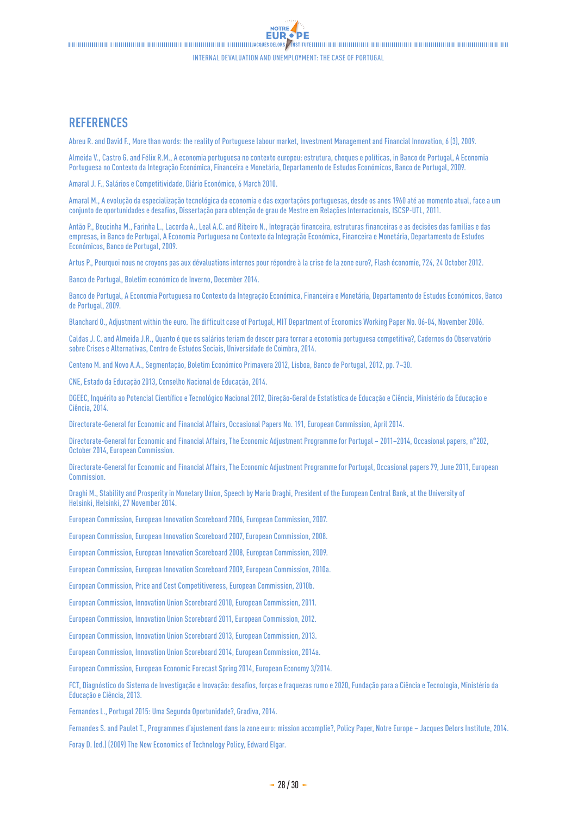## **REFERENCES**

Abreu R. and David F., [More than words: the reality of Portuguese labour market](http://businessperspectives.org/journals_free/imfi/2009/imfi_en_2009_03_SI_Abreu.pdf), Investment Management and Financial Innovation, 6 (3), 2009.

Almeida V., Castro G. and Félix R.M., A economia portuguesa no contexto europeu: estrutura, choques e políticas, in Banco de Portugal, A Economia Portuguesa no Contexto da Integração Económica, Financeira e Monetária, Departamento de Estudos Económicos, Banco de Portugal, 2009.

Amaral J. F., [Salários e Competitividade](http://economico.sapo.pt/noticias/salarios-e-competitividade_83408.html), Diário Económico, 6 March 2010.

Amaral M., A evolução da especialização tecnológica da economia e das exportações portuguesas, desde os anos 1960 até ao momento atual, face a um conjunto de oportunidades e desafios, Dissertação para obtenção de grau de Mestre em Relações Internacionais, ISCSP-UTL, 2011.

Antão P., Boucinha M., Farinha L., Lacerda A., Leal A.C. and Ribeiro N., Integração financeira, estruturas financeiras e as decisões das famílias e das empresas, in Banco de Portugal, A Economia Portuguesa no Contexto da Integração Económica, Financeira e Monetária, Departamento de Estudos Económicos, Banco de Portugal, 2009.

Artus P., [Pourquoi nous ne croyons pas aux dévaluations internes pour répondre à la crise de la zone euro?,](http://cib.natixis.com/flushdoc.aspx?id=66589) Flash économie, 724, 24 October 2012.

Banco de Portugal, [Boletim económico de Inverno](http://www.bportugal.pt/pt-PT/EstudosEconomicos/Publicacoes/BoletimEconomico/Publicacoes/Bol_Econ_dezembro_p.pdf), December 2014.

Banco de Portugal, A Economia Portuguesa no Contexto da Integração Económica, Financeira e Monetária, Departamento de Estudos Económicos, Banco de Portugal, 2009.

Blanchard O., [Adjustment within the euro. The difficult case of Portugal,](http://economics.mit.edu/files/740) MIT Department of Economics Working Paper No. 06-04, November 2006.

Caldas J. C. and Almeida J.R., Quanto é que os salários teriam de descer para tornar a economia portuguesa competitiva?, Cadernos do Observatório sobre Crises e Alternativas, Centro de Estudos Sociais, Universidade de Coimbra, 2014.

Centeno M. and Novo A.A., Segmentação, Boletim Económico Primavera 2012, Lisboa, Banco de Portugal, 2012, pp. 7–30.

CNE, Estado da Educação 2013, Conselho Nacional de Educação, 2014.

DGEEC, Inquérito ao Potencial Científico e Tecnológico Nacional 2012, Direção-Geral de Estatística de Educação e Ciência, Ministério da Educação e Ciência, 2014.

Directorate-General for Economic and Financial Affairs, [Occasional Papers No. 191,](http://ec.europa.eu/economy_finance/publications/occasional_paper/2014/op191_en.htm) European Commission, April 2014.

Directorate-General for Economic and Financial Affairs, [The Economic Adjustment Programme for Portugal – 2011–2014](http://ec.europa.eu/economy_finance/publications/occasional_paper/2014/pdf/ocp202_en.pdf), Occasional papers, n°202, October 2014, European Commission.

Directorate-General for Economic and Financial Affairs, [The Economic Adjustment Programme for Portugal](http://ec.europa.eu/economy_finance/publications/occasional_paper/2011/pdf/ocp79_en.pdf), Occasional papers 79, June 2011, European **Commission** 

Draghi M., Stability and Prosperity in Monetary Union, Speech by Mario Draghi, President of the European Central Bank, at the University of Helsinki, Helsinki, 27 November 2014.

European Commission, European Innovation Scoreboard 2006, European Commission, 2007.

European Commission, European Innovation Scoreboard 2007, European Commission, 2008.

European Commission, European Innovation Scoreboard 2008, European Commission, 2009.

European Commission, European Innovation Scoreboard 2009, European Commission, 2010a.

European Commission, Price and Cost Competitiveness, European Commission, 2010b.

European Commission, Innovation Union Scoreboard 2010, European Commission, 2011.

European Commission, Innovation Union Scoreboard 2011, European Commission, 2012.

European Commission, Innovation Union Scoreboard 2013, European Commission, 2013.

European Commission, Innovation Union Scoreboard 2014, European Commission, 2014a.

European Commission, [European Economic Forecast Spring 2014](http://ec.europa.eu/economy_finance/publications/european_economy/2014/pdf/ee3_en.pdf), European Economy 3/2014.

FCT, Diagnóstico do Sistema de Investigação e Inovação: desafios, forças e fraquezas rumo e 2020, Fundação para a Ciência e Tecnologia, Ministério da Educação e Ciência, 2013.

Fernandes L., Portugal 2015: Uma Segunda Oportunidade?, Gradiva, 2014.

Fernandes S. and Paulet T., [Programmes d'ajustement dans la zone euro: mission accomplie?](http://www.notre-europe.eu/media/programmesajustementuem-fernandes-paulet-ne-ijd-mai14.pdf?pdf=ok), Policy Paper, Notre Europe – Jacques Delors Institute, 2014.

Foray D. (ed.) (2009) The New Economics of Technology Policy, Edward Elgar.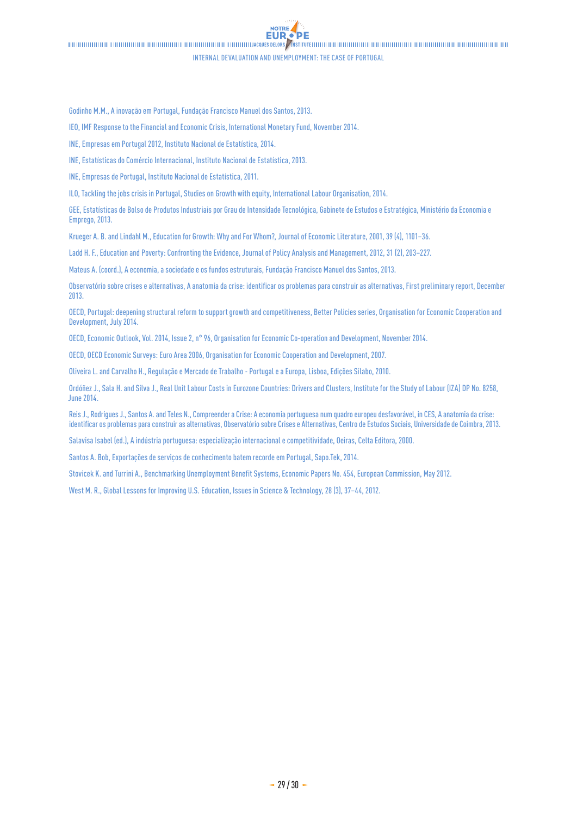#### Internal devaluation and unemployment: the case of Portugal

'DE

NOTRE. **EUR.** 

Godinho M.M., A inovação em Portugal, Fundação Francisco Manuel dos Santos, 2013.

IEO, [IMF Response to the Financial and Economic Crisis,](http://www.ieo-imf.org/ieo/pages/EvaluationImages227.aspx) International Monetary Fund, November 2014.

INE, Empresas em Portugal 2012, Instituto Nacional de Estatística, 2014.

INE, Estatísticas do Comércio Internacional, Instituto Nacional de Estatística, 2013.

INE, Empresas de Portugal, Instituto Nacional de Estatística, 2011.

ILO, [Tackling the jobs crisis in Portugal](http://www.ilo.org/wcmsp5/groups/public/---dgreports/---dcomm/documents/publication/wcms_228208.pdf), Studies on Growth with equity, International Labour Organisation, 2014.

GEE, Estatísticas de Bolso de Produtos Industriais por Grau de Intensidade Tecnológica, Gabinete de Estudos e Estratégica, Ministério da Economia e Emprego, 2013.

Krueger A. B. and Lindahl M., Education for Growth: Why and For Whom?, Journal of Economic Literature, 2001, 39 (4), 1101–36.

Ladd H. F., Education and Poverty: Confronting the Evidence, Journal of Policy Analysis and Management, 2012, 31 (2), 203–227.

Mateus A. (coord.), A economia, a sociedade e os fundos estruturais, Fundação Francisco Manuel dos Santos, 2013.

Observatório sobre crises e alternativas, [A anatomia da crise: identificar os problemas para construir as alternativas,](http://www.ces.uc.pt/ficheiros2/files/Relatorio_Anatomia_Crise_final__.pdf) First preliminary report, December 2013.

OECD, [Portugal: deepening structural reform to support growth and competitiveness](http://www.oecd.org/portugal/Portugal-Deepening-structural-reform-to-support-growth-and-competitiveness.pdf), Better Policies series, Organisation for Economic Cooperation and Development, July 2014.

OECD, Economic Outlook, Vol. 2014, Issue 2, n° 96, Organisation for Economic Co-operation and Development, November 2014.

OECD, OECD Economic Surveys: Euro Area 2006, Organisation for Economic Cooperation and Development, 2007.

Oliveira L. and Carvalho H., Regulação e Mercado de Trabalho - Portugal e a Europa, Lisboa, Edições Sílabo, 2010.

Ordóñez J., Sala H. and Silva J., Real Unit Labour Costs in Eurozone Countries: Drivers and Clusters, Institute for the Study of Labour (IZA) DP No. 8258, June 2014.

Reis J., Rodrigues J., Santos A. and Teles N., Compreender a Crise: A economia portuguesa num quadro europeu desfavorável, in CES, A anatomia da crise: identificar os problemas para construir as alternativas, Observatório sobre Crises e Alternativas, Centro de Estudos Sociais, Universidade de Coimbra, 2013.

Salavisa Isabel (ed.), A indústria portuguesa: especialização internacional e competitividade, Oeiras, Celta Editora, 2000.

Santos A. Bob, [Exportações de serviços de conhecimento batem recorde em Portugal](http://tek.sapo.pt/opiniao/opiniao_exportacoes_de_servicos_de_conhecimen_1381316.html), Sapo.Tek, 2014.

Stovicek K. and Turrini A., [Benchmarking Unemployment Benefit Systems](http://ec.europa.eu/economy_finance/publications/economic_paper/2012/pdf/ecb454_en.pdf), Economic Papers No. 454, European Commission, May 2012.

West M. R., Global Lessons for Improving U.S. Education, Issues in Science & Technology, 28 (3), 37–44, 2012.